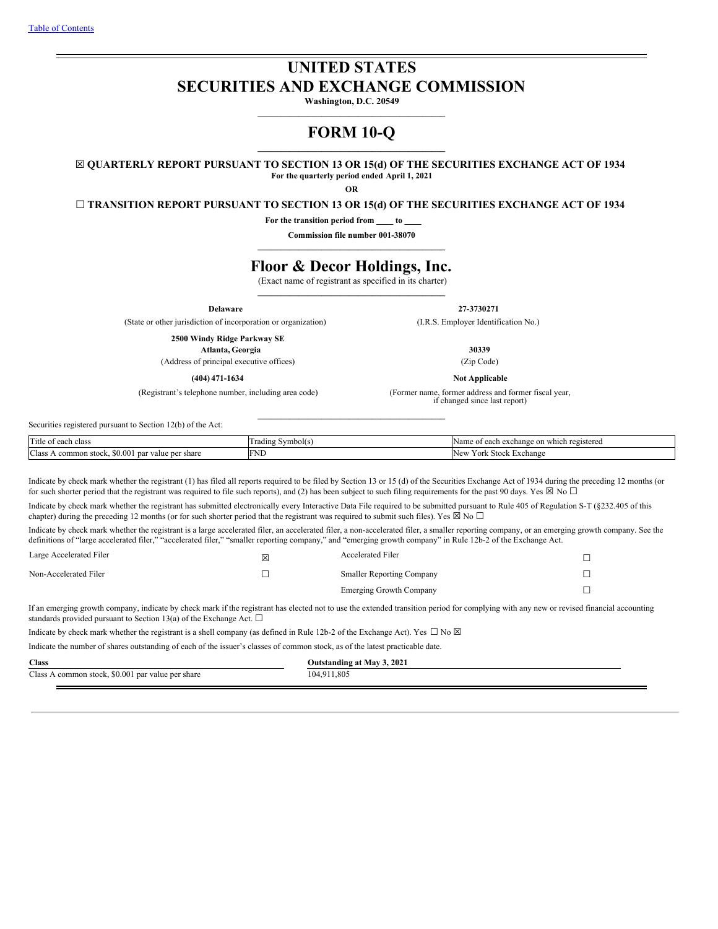# **UNITED STATES SECURITIES AND EXCHANGE COMMISSION**

**Washington, D.C. 20549**  $\mathcal{L} = \{ \mathcal{L} \}$ 

# **FORM 10-Q**  $\mathcal{L} = \{ \mathcal{L} \}$

☒ **QUARTERLY REPORT PURSUANT TO SECTION 13 OR 15(d) OF THE SECURITIES EXCHANGE ACT OF 1934 For the quarterly period ended April 1, 2021**

**OR**

☐ **TRANSITION REPORT PURSUANT TO SECTION 13 OR 15(d) OF THE SECURITIES EXCHANGE ACT OF 1934**

**For the transition period from \_\_\_\_ to \_\_\_\_**

**Commission file number 001-38070**  $\mathcal{L} = \{ \mathcal{L} \}$ 

# **Floor & Decor Holdings, Inc.**

(Exact name of registrant as specified in its charter)  $\mathcal{L} = \{ \mathcal{L} \}$ 

(State or other jurisdiction of incorporation or organization) (I.R.S. Employer Identification No.)

**2500 Windy Ridge Parkway SE**

**Atlanta, Georgia 30339** (Address of principal executive offices) (Zip Code)

**(404)471-1634 Not Applicable**

**Delaware 27-3730271**

(Registrant's telephone number, including area code) (Former name, former address and former fiscal year, if changed since last report)

Securities registered pursuant to Section 12(b) of the Act:

| Title<br>class<br>e of each                                                        | . rading<br>Symbol(s. | on which registered :<br>of each exchange<br>'me |
|------------------------------------------------------------------------------------|-----------------------|--------------------------------------------------|
| $\sim$<br>\$0.00<br>ے مخ<br>:lass<br>value per share<br>. common stock. `<br>. par | FNL                   | <b>New</b><br>Stock Exchange<br>`ork             |

 $\mathcal{L} = \{ \mathcal{L} \}$ 

Indicate by check mark whether the registrant (1) has filed all reports required to be filed by Section 13 or 15 (d) of the Securities Exchange Act of 1934 during the preceding 12 months (or for such shorter period that the registrant was required to file such reports), and (2) has been subject to such filing requirements for the past 90 days. Yes  $\boxtimes$  No  $\Box$ 

Indicate by check mark whether the registrant has submitted electronically every Interactive Data File required to be submitted pursuant to Rule 405 of Regulation S-T (§232.405 of this chapter) during the preceding 12 months (or for such shorter period that the registrant was required to submit such files). Yes  $\boxtimes$  No  $\Box$ 

Indicate by check mark whether the registrant is a large accelerated filer, an accelerated filer, a non-accelerated filer, a smaller reporting company, or an emerging growth company. See the definitions of "large accelerated filer," "accelerated filer," "smaller reporting company," and "emerging growth company" in Rule 12b-2 of the Exchange Act.

| Large Accelerated Filer | ⊠ | Accelerated Filer                |  |
|-------------------------|---|----------------------------------|--|
| Non-Accelerated Filer   |   | <b>Smaller Reporting Company</b> |  |
|                         |   | <b>Emerging Growth Company</b>   |  |

If an emerging growth company, indicate by check mark if the registrant has elected not to use the extended transition period for complying with any new or revised financial accounting standards provided pursuant to Section 13(a) of the Exchange Act.  $\square$ 

Indicate by check mark whether the registrant is a shell company (as defined in Rule 12b-2 of the Exchange Act). Yes  $\Box$  No  $\boxtimes$ 

Indicate the number of shares outstanding of each of the issuer's classes of common stock, as of the latest practicable date.

<span id="page-0-0"></span>

| <b>Class</b>                              | Outstanding at May 3, 2021 |
|-------------------------------------------|----------------------------|
| Class.                                    | l 805                      |
| common stock, \$0.001 par value per share | <b>04.011</b>              |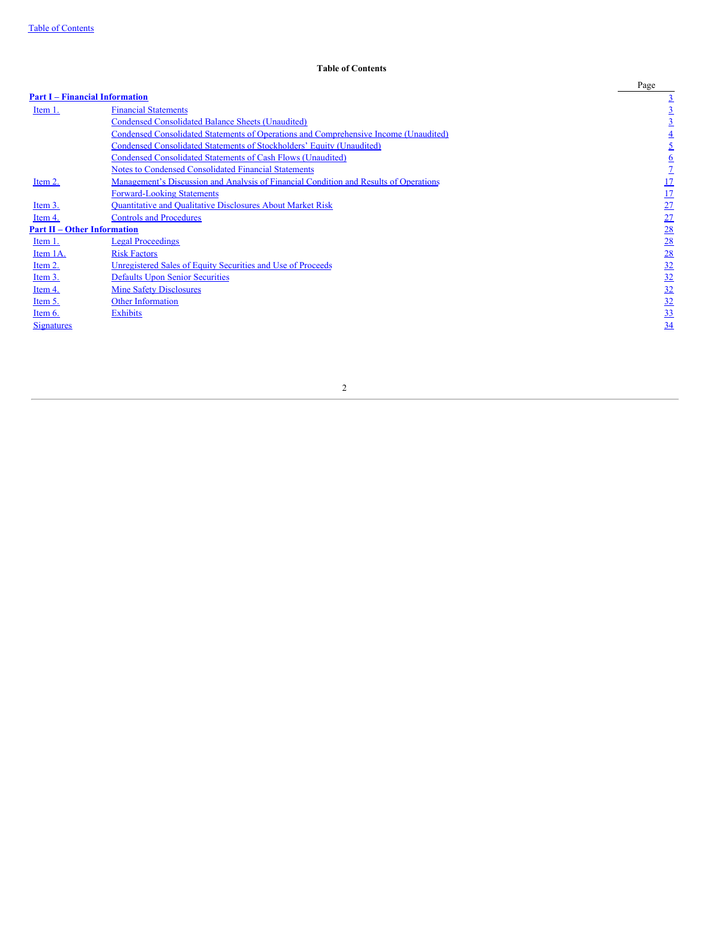# **Table of Contents**

<span id="page-1-0"></span>

|                                    |                                                                                       | Page            |
|------------------------------------|---------------------------------------------------------------------------------------|-----------------|
|                                    | <b>Part I - Financial Information</b>                                                 |                 |
| Item 1.                            | <b>Financial Statements</b>                                                           |                 |
|                                    | <b>Condensed Consolidated Balance Sheets (Unaudited)</b>                              |                 |
|                                    | Condensed Consolidated Statements of Operations and Comprehensive Income (Unaudited)  |                 |
|                                    | Condensed Consolidated Statements of Stockholders' Equity (Unaudited)                 |                 |
|                                    | Condensed Consolidated Statements of Cash Flows (Unaudited)                           |                 |
|                                    | <b>Notes to Condensed Consolidated Financial Statements</b>                           |                 |
| Item 2.                            | Management's Discussion and Analysis of Financial Condition and Results of Operations |                 |
|                                    | <b>Forward-Looking Statements</b>                                                     | 17              |
| Item 3.                            | Quantitative and Qualitative Disclosures About Market Risk                            | 27              |
| Item 4.                            | <b>Controls and Procedures</b>                                                        | 27              |
| <b>Part II - Other Information</b> |                                                                                       | $\overline{28}$ |
| Item 1.                            | <b>Legal Proceedings</b>                                                              | 28              |
| Item 1A.                           | <b>Risk Factors</b>                                                                   | $\overline{28}$ |
| Item 2.                            | Unregistered Sales of Equity Securities and Use of Proceeds                           | 32              |
| Item 3.                            | <b>Defaults Upon Senior Securities</b>                                                | <u>32</u>       |
| Item 4.                            | <b>Mine Safety Disclosures</b>                                                        | 32              |
| Item 5.                            | <b>Other Information</b>                                                              | 32              |
| Item 6.                            | <b>Exhibits</b>                                                                       | 33              |
| Signatures                         |                                                                                       | $\frac{34}{5}$  |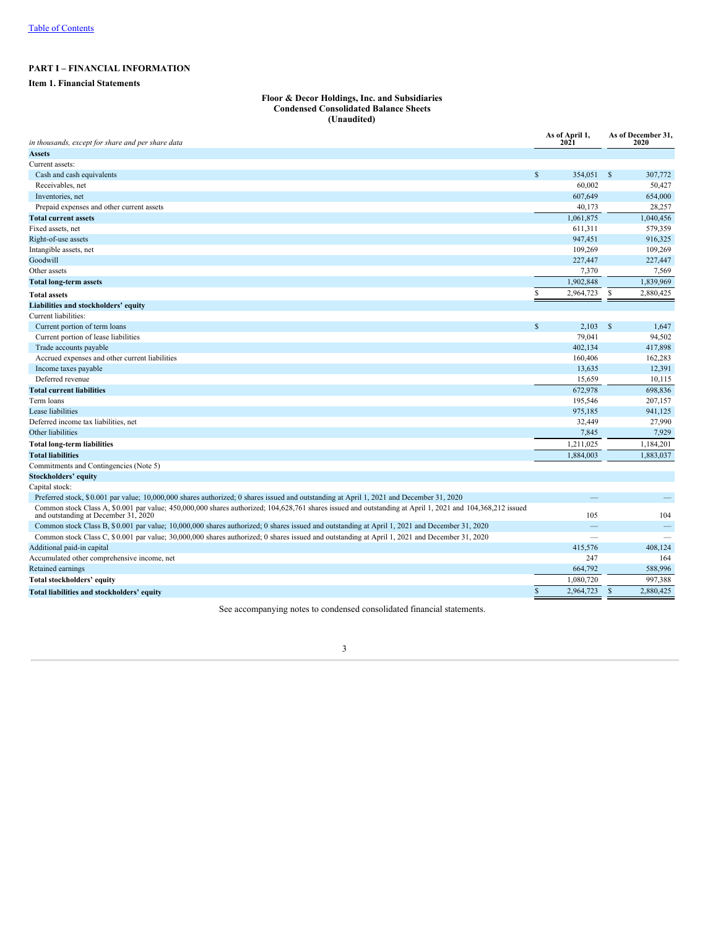# **PART I – FINANCIAL INFORMATION**

# <span id="page-2-1"></span><span id="page-2-0"></span>**Item 1. Financial Statements**

#### **Floor & Decor Holdings, Inc. and Subsidiaries Condensed Consolidated Balance Sheets (Unaudited)**

| in thousands, except for share and per share data                                                                                                                                                 |              | As of April 1,<br>2021 |               | As of December 31,<br>2020 |  |  |
|---------------------------------------------------------------------------------------------------------------------------------------------------------------------------------------------------|--------------|------------------------|---------------|----------------------------|--|--|
| <b>Assets</b>                                                                                                                                                                                     |              |                        |               |                            |  |  |
| Current assets:                                                                                                                                                                                   |              |                        |               |                            |  |  |
| Cash and cash equivalents                                                                                                                                                                         | $\mathbb{S}$ | 354,051                | <sup>\$</sup> | 307,772                    |  |  |
| Receivables, net                                                                                                                                                                                  |              | 60,002                 |               | 50,427                     |  |  |
| Inventories, net                                                                                                                                                                                  |              | 607,649                |               | 654,000                    |  |  |
| Prepaid expenses and other current assets                                                                                                                                                         |              | 40,173                 |               | 28,257                     |  |  |
| <b>Total current assets</b>                                                                                                                                                                       |              | 1,061,875              |               | 1,040,456                  |  |  |
| Fixed assets, net                                                                                                                                                                                 |              | 611,311                |               | 579,359                    |  |  |
| Right-of-use assets                                                                                                                                                                               |              | 947,451                |               | 916,325                    |  |  |
| Intangible assets, net                                                                                                                                                                            |              | 109,269                |               | 109,269                    |  |  |
| Goodwill                                                                                                                                                                                          |              | 227,447                |               | 227,447                    |  |  |
| Other assets                                                                                                                                                                                      |              | 7,370                  |               | 7,569                      |  |  |
| <b>Total long-term assets</b>                                                                                                                                                                     |              | 1,902,848              |               | 1,839,969                  |  |  |
| <b>Total assets</b>                                                                                                                                                                               | S            | 2,964,723              | <sup>\$</sup> | 2,880,425                  |  |  |
| Liabilities and stockholders' equity                                                                                                                                                              |              |                        |               |                            |  |  |
| Current liabilities:                                                                                                                                                                              |              |                        |               |                            |  |  |
| Current portion of term loans                                                                                                                                                                     | $\mathbb{S}$ | 2.103                  | <sup>\$</sup> | 1,647                      |  |  |
| Current portion of lease liabilities                                                                                                                                                              |              | 79,041                 |               | 94,502                     |  |  |
| Trade accounts payable                                                                                                                                                                            |              | 402,134                |               | 417,898                    |  |  |
| Accrued expenses and other current liabilities                                                                                                                                                    |              | 160,406                |               | 162,283                    |  |  |
| Income taxes payable                                                                                                                                                                              |              | 13,635                 |               | 12,391                     |  |  |
| Deferred revenue                                                                                                                                                                                  |              | 15,659                 |               | 10,115                     |  |  |
| <b>Total current liabilities</b>                                                                                                                                                                  |              | 672,978                |               | 698,836                    |  |  |
| Term loans                                                                                                                                                                                        |              | 195,546                |               | 207,157                    |  |  |
| Lease liabilities                                                                                                                                                                                 |              | 975,185                |               | 941,125                    |  |  |
| Deferred income tax liabilities, net                                                                                                                                                              |              | 32,449                 |               | 27,990                     |  |  |
| Other liabilities                                                                                                                                                                                 |              | 7,845                  |               | 7,929                      |  |  |
| <b>Total long-term liabilities</b>                                                                                                                                                                |              | 1,211,025              |               | 1,184,201                  |  |  |
| <b>Total liabilities</b>                                                                                                                                                                          |              | 1,884,003              |               | 1,883,037                  |  |  |
| Commitments and Contingencies (Note 5)                                                                                                                                                            |              |                        |               |                            |  |  |
| Stockholders' equity                                                                                                                                                                              |              |                        |               |                            |  |  |
| Capital stock:                                                                                                                                                                                    |              |                        |               |                            |  |  |
| Preferred stock, \$0.001 par value; 10,000,000 shares authorized; 0 shares issued and outstanding at April 1, 2021 and December 31, 2020                                                          |              |                        |               |                            |  |  |
| Common stock Class A, \$0.001 par value; 450,000,000 shares authorized; 104,628,761 shares issued and outstanding at April 1, 2021 and 104,368,212 issued<br>and outstanding at December 31, 2020 |              | 105                    |               | 104                        |  |  |
| Common stock Class B, \$0.001 par value; 10,000,000 shares authorized; 0 shares issued and outstanding at April 1, 2021 and December 31, 2020                                                     |              |                        |               |                            |  |  |
| Common stock Class C, \$0.001 par value; 30,000,000 shares authorized; 0 shares issued and outstanding at April 1, 2021 and December 31, 2020                                                     |              |                        |               |                            |  |  |
| Additional paid-in capital                                                                                                                                                                        |              | 415,576                |               | 408,124                    |  |  |
| Accumulated other comprehensive income, net                                                                                                                                                       |              | 247                    |               | 164                        |  |  |
| Retained earnings                                                                                                                                                                                 |              | 664,792                |               | 588,996                    |  |  |
| Total stockholders' equity                                                                                                                                                                        |              | 1,080,720              |               | 997,388                    |  |  |
| Total liabilities and stockholders' equity                                                                                                                                                        | $\mathbf S$  | 2.964.723              | $\mathbf{s}$  | 2,880,425                  |  |  |

<span id="page-2-2"></span>See accompanying notes to condensed consolidated financial statements.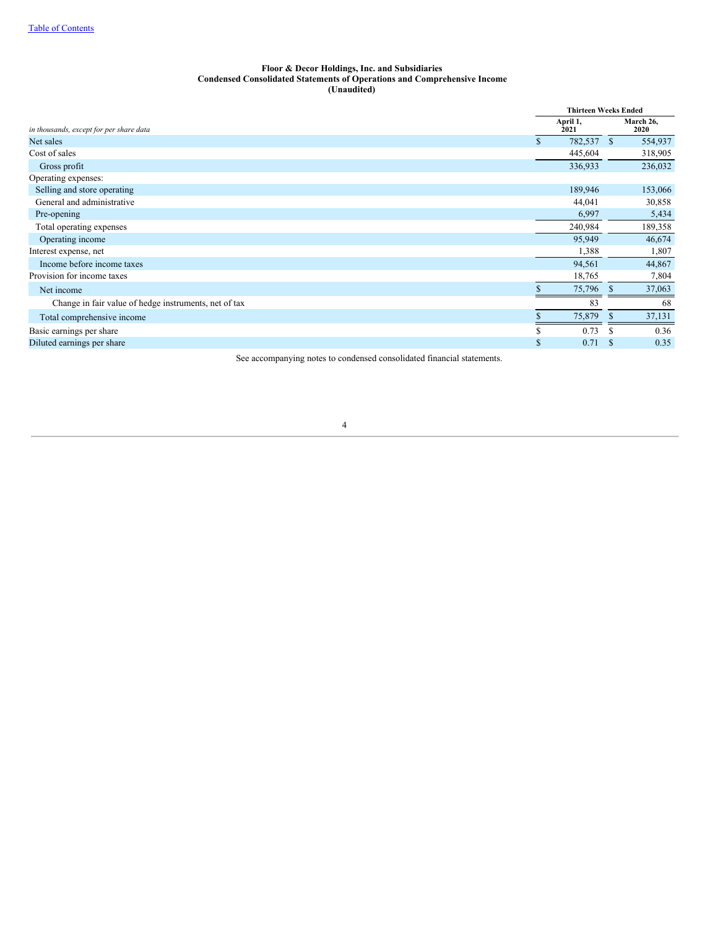#### **Floor & Decor Holdings, Inc. and Subsidiaries Condensed Consolidated Statements of Operations and Comprehensive Income (Unaudited)**

|                                                       | <b>Thirteen Weeks Ended</b> |                  |               |                   |
|-------------------------------------------------------|-----------------------------|------------------|---------------|-------------------|
| in thousands, except for per share data               |                             | April 1,<br>2021 |               | March 26,<br>2020 |
| Net sales                                             | S.                          | 782,537          | - \$          | 554,937           |
| Cost of sales                                         |                             | 445,604          |               | 318,905           |
| Gross profit                                          |                             | 336,933          |               | 236,032           |
| Operating expenses:                                   |                             |                  |               |                   |
| Selling and store operating                           |                             | 189,946          |               | 153,066           |
| General and administrative                            |                             | 44,041           |               | 30,858            |
| Pre-opening                                           |                             | 6,997            |               | 5,434             |
| Total operating expenses                              |                             | 240,984          |               | 189,358           |
| Operating income                                      |                             | 95,949           |               | 46,674            |
| Interest expense, net                                 |                             | 1,388            |               | 1,807             |
| Income before income taxes                            |                             | 94,561           |               | 44,867            |
| Provision for income taxes                            |                             | 18,765           |               | 7,804             |
| Net income                                            |                             | 75,796           | <sup>\$</sup> | 37,063            |
| Change in fair value of hedge instruments, net of tax |                             | 83               |               | 68                |
| Total comprehensive income                            |                             | 75,879           | S             | 37,131            |
| Basic earnings per share                              |                             | 0.73             | S             | 0.36              |
| Diluted earnings per share                            | S                           | 0.71             | S             | 0.35              |

<span id="page-3-0"></span>See accompanying notes to condensed consolidated financial statements.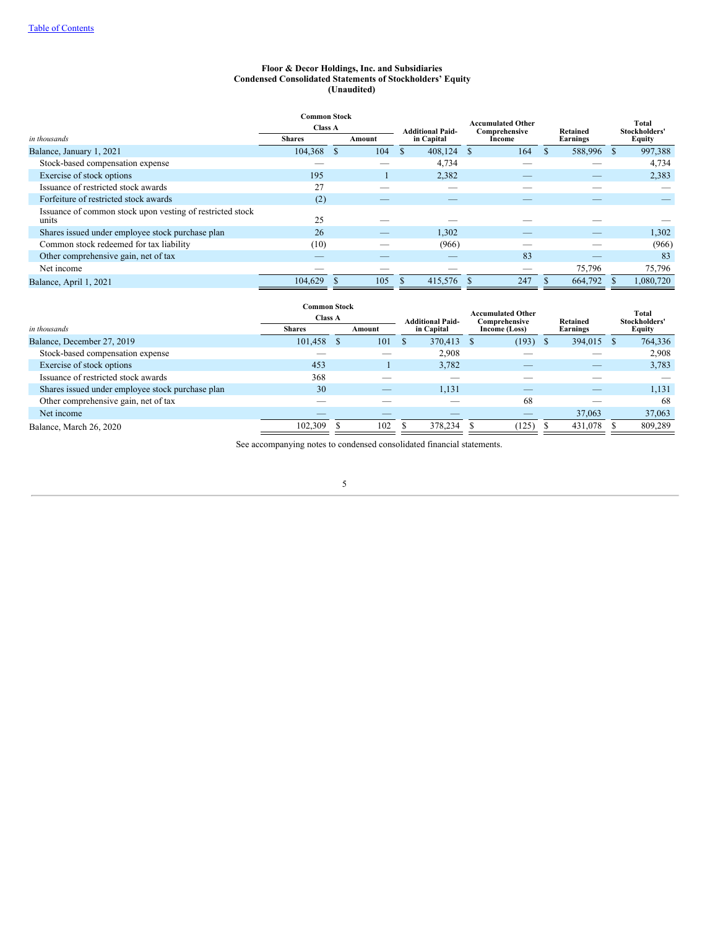### **Floor & Decor Holdings, Inc. and Subsidiaries Condensed Consolidated Statements of Stockholders' Equity (Unaudited)**

|                                                                    | <b>Common Stock</b> |  |                         |          |                                           |  |          |  |          |                               |               |
|--------------------------------------------------------------------|---------------------|--|-------------------------|----------|-------------------------------------------|--|----------|--|----------|-------------------------------|---------------|
|                                                                    | <b>Class A</b>      |  | <b>Additional Paid-</b> |          | <b>Accumulated Other</b><br>Comprehensive |  | Retained |  |          | Total<br><b>Stockholders'</b> |               |
| in thousands                                                       | <b>Shares</b>       |  | Amount                  |          | in Capital                                |  | Income   |  | Earnings |                               | <b>Equity</b> |
| Balance, January 1, 2021                                           | 104,368             |  | 104                     | <b>S</b> | 408,124                                   |  | 164      |  | 588,996  | -8                            | 997,388       |
| Stock-based compensation expense                                   |                     |  |                         |          | 4,734                                     |  |          |  |          |                               | 4,734         |
| Exercise of stock options                                          | 195                 |  |                         |          | 2,382                                     |  |          |  |          |                               | 2,383         |
| Issuance of restricted stock awards                                | 27                  |  |                         |          |                                           |  |          |  |          |                               |               |
| Forfeiture of restricted stock awards                              | (2)                 |  |                         |          |                                           |  |          |  |          |                               |               |
| Issuance of common stock upon vesting of restricted stock<br>units | 25                  |  |                         |          |                                           |  |          |  |          |                               |               |
| Shares issued under employee stock purchase plan                   | 26                  |  |                         |          | 1,302                                     |  |          |  |          |                               | 1,302         |
| Common stock redeemed for tax liability                            | (10)                |  |                         |          | (966)                                     |  |          |  |          |                               | (966)         |
| Other comprehensive gain, net of tax                               |                     |  |                         |          |                                           |  | 83       |  |          |                               | 83            |
| Net income                                                         |                     |  |                         |          |                                           |  | _        |  | 75,796   |                               | 75,796        |
| Balance, April 1, 2021                                             | 104,629             |  | 105                     |          | 415,576                                   |  | 247      |  | 664,792  |                               | 1,080,720     |

<span id="page-4-0"></span>

|                                                  | <b>Common Stock</b><br><b>Class A</b> |  |                          | <b>Accumulated Other</b><br><b>Additional Paid-</b><br>Comprehensive |            |               | Retained | Total<br>Stockholders' |               |
|--------------------------------------------------|---------------------------------------|--|--------------------------|----------------------------------------------------------------------|------------|---------------|----------|------------------------|---------------|
| in thousands                                     | <b>Shares</b>                         |  | Amount                   |                                                                      | in Capital | Income (Loss) |          | Earnings               | <b>Equity</b> |
| Balance, December 27, 2019                       | 101,458                               |  | 101                      |                                                                      | 370,413    | $(193)$ \$    |          | 394,015                | 764,336       |
| Stock-based compensation expense                 |                                       |  |                          |                                                                      | 2,908      |               |          |                        | 2,908         |
| Exercise of stock options                        | 453                                   |  |                          |                                                                      | 3,782      |               |          |                        | 3,783         |
| Issuance of restricted stock awards              | 368                                   |  |                          |                                                                      |            |               |          |                        |               |
| Shares issued under employee stock purchase plan | 30                                    |  | $\overline{\phantom{a}}$ |                                                                      | 1,131      |               |          |                        | 1,131         |
| Other comprehensive gain, net of tax             | $-$                                   |  |                          |                                                                      |            | 68            |          |                        | 68            |
| Net income                                       |                                       |  |                          |                                                                      |            |               |          | 37,063                 | 37,063        |
| Balance, March 26, 2020                          | 102,309                               |  | 102                      |                                                                      | 378,234    | (125)         |          | 431,078                | 809,289       |

See accompanying notes to condensed consolidated financial statements.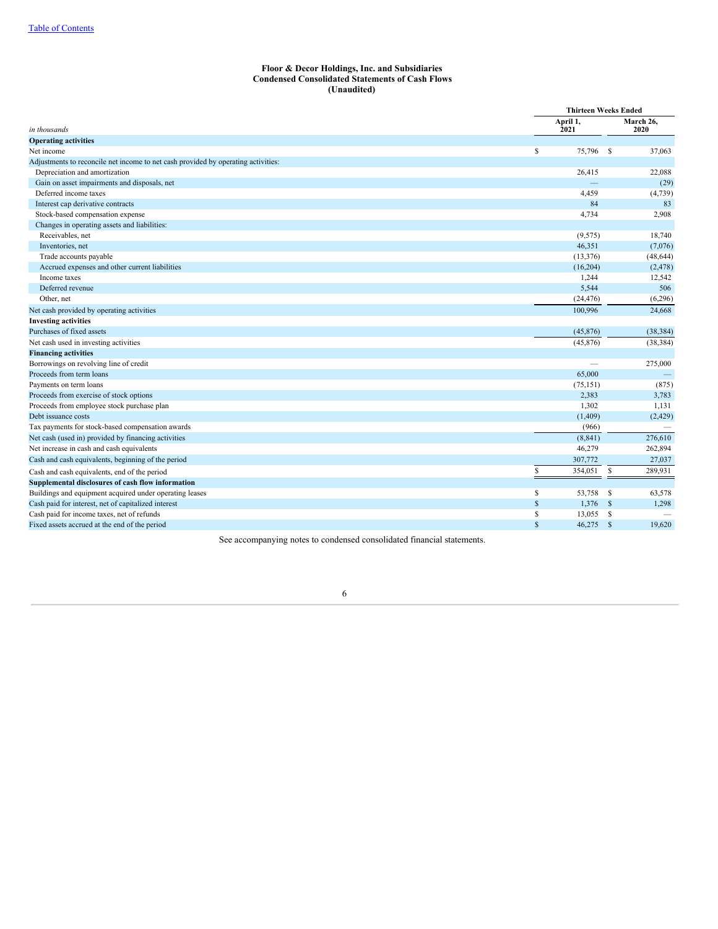#### **Floor & Decor Holdings, Inc. and Subsidiaries Condensed Consolidated Statements of Cash Flows (Unaudited)**

|                                                                                   |                       | <b>Thirteen Weeks Ended</b> |                   |  |  |  |
|-----------------------------------------------------------------------------------|-----------------------|-----------------------------|-------------------|--|--|--|
| in thousands                                                                      | April 1,<br>2021      |                             | March 26.<br>2020 |  |  |  |
| <b>Operating activities</b>                                                       |                       |                             |                   |  |  |  |
| Net income                                                                        | s                     | 75,796 \$                   | 37,063            |  |  |  |
| Adjustments to reconcile net income to net cash provided by operating activities: |                       |                             |                   |  |  |  |
| Depreciation and amortization                                                     | 26,415                |                             | 22,088            |  |  |  |
| Gain on asset impairments and disposals, net                                      |                       |                             | (29)              |  |  |  |
| Deferred income taxes                                                             | 4,459                 |                             | (4, 739)          |  |  |  |
| Interest cap derivative contracts                                                 |                       | 84                          | 83                |  |  |  |
| Stock-based compensation expense                                                  | 4,734                 |                             | 2,908             |  |  |  |
| Changes in operating assets and liabilities:                                      |                       |                             |                   |  |  |  |
| Receivables, net                                                                  | (9, 575)              |                             | 18,740            |  |  |  |
| Inventories, net                                                                  | 46,351                |                             | (7,076)           |  |  |  |
| Trade accounts payable                                                            | (13,376)              |                             | (48, 644)         |  |  |  |
| Accrued expenses and other current liabilities                                    | (16,204)              |                             | (2, 478)          |  |  |  |
| Income taxes                                                                      | 1,244                 |                             | 12,542            |  |  |  |
| Deferred revenue                                                                  | 5,544                 |                             | 506               |  |  |  |
| Other, net                                                                        | (24, 476)             |                             | (6,296)           |  |  |  |
| Net cash provided by operating activities                                         | 100,996               |                             | 24,668            |  |  |  |
| <b>Investing activities</b>                                                       |                       |                             |                   |  |  |  |
| Purchases of fixed assets                                                         | (45,876)              |                             | (38, 384)         |  |  |  |
| Net cash used in investing activities                                             | (45,876)              |                             | (38, 384)         |  |  |  |
| <b>Financing activities</b>                                                       |                       |                             |                   |  |  |  |
| Borrowings on revolving line of credit                                            |                       |                             | 275,000           |  |  |  |
| Proceeds from term loans                                                          | 65,000                |                             |                   |  |  |  |
| Payments on term loans                                                            | (75, 151)             |                             | (875)             |  |  |  |
| Proceeds from exercise of stock options                                           | 2,383                 |                             | 3,783             |  |  |  |
| Proceeds from employee stock purchase plan                                        | 1,302                 |                             | 1,131             |  |  |  |
| Debt issuance costs                                                               | (1, 409)              |                             | (2,429)           |  |  |  |
| Tax payments for stock-based compensation awards                                  |                       | (966)                       |                   |  |  |  |
| Net cash (used in) provided by financing activities                               | (8, 841)              |                             | 276,610           |  |  |  |
| Net increase in cash and cash equivalents                                         | 46,279                |                             | 262,894           |  |  |  |
| Cash and cash equivalents, beginning of the period                                | 307,772               |                             | 27,037            |  |  |  |
| Cash and cash equivalents, end of the period                                      | s<br>354,051          | $\mathbb{S}$                | 289,931           |  |  |  |
| Supplemental disclosures of cash flow information                                 |                       |                             |                   |  |  |  |
| Buildings and equipment acquired under operating leases                           | \$<br>53,758          | \$                          | 63,578            |  |  |  |
| Cash paid for interest, net of capitalized interest                               | $\mathsf{s}$<br>1,376 | $\mathbf{s}$                | 1,298             |  |  |  |
| Cash paid for income taxes, net of refunds                                        | S<br>13,055           | \$                          |                   |  |  |  |
| Fixed assets accrued at the end of the period                                     | $\mathbf S$<br>46,275 | -S                          | 19,620            |  |  |  |

<span id="page-5-0"></span>See accompanying notes to condensed consolidated financial statements.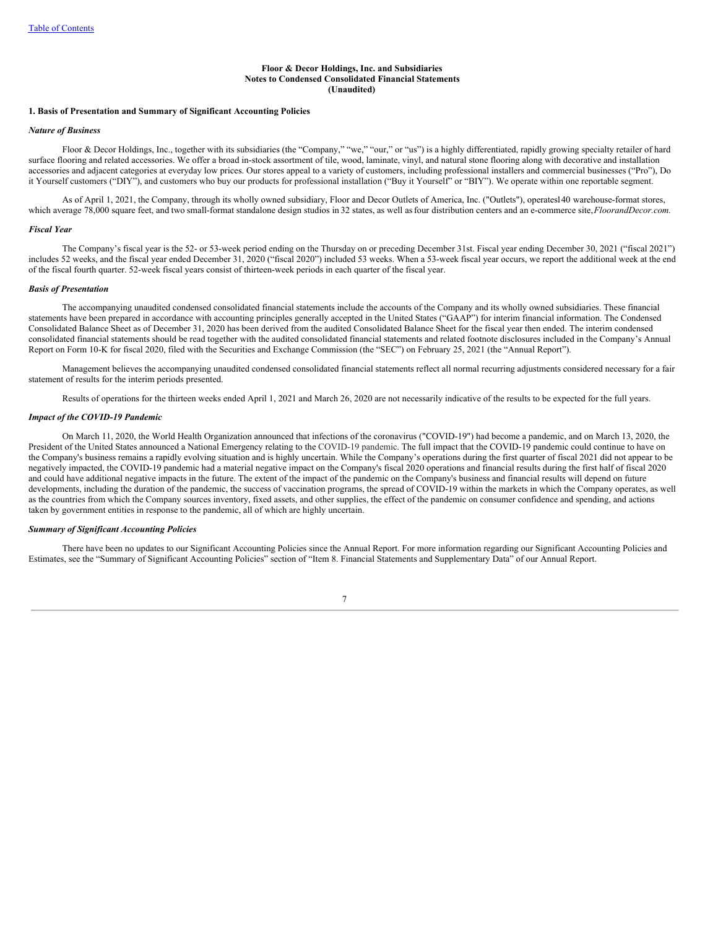#### **Floor & Decor Holdings, Inc. and Subsidiaries Notes to Condensed Consolidated Financial Statements (Unaudited)**

# **1. Basis of Presentation and Summary of Significant Accounting Policies**

#### *Nature of Business*

Floor & Decor Holdings, Inc., together with its subsidiaries (the "Company," "we," "our," or "us") is a highly differentiated, rapidly growing specialty retailer of hard surface flooring and related accessories. We offer a broad in-stock assortment of tile, wood, laminate, vinyl, and natural stone flooring along with decorative and installation accessories and adjacent categories at everyday low prices. Our stores appeal to a variety of customers, including professional installers and commercial businesses ("Pro"), Do it Yourself customers ("DIY"), and customers who buy our products for professional installation ("Buy it Yourself" or "BIY"). We operate within one reportable segment.

As of April 1, 2021, the Company, through its wholly owned subsidiary, Floor and Decor Outlets of America, Inc. ("Outlets"), operates140 warehouse-format stores, which average 78,000 square feet, and two small-format standalone design studios in 32 states, as well as four distribution centers and an e-commerce site, *FloorandDecor.com*.

#### *Fiscal Year*

The Company's fiscal year is the 52- or 53-week period ending on the Thursday on or preceding December 31st. Fiscal year ending December 30, 2021 ("fiscal 2021") includes 52 weeks, and the fiscal year ended December 31, 2020 ("fiscal 2020") included 53 weeks. When a 53-week fiscal year occurs, we report the additional week at the end of the fiscal fourth quarter. 52-week fiscal years consist of thirteen-week periods in each quarter of the fiscal year.

#### *Basis of Presentation*

The accompanying unaudited condensed consolidated financial statements include the accounts of the Company and its wholly owned subsidiaries. These financial statements have been prepared in accordance with accounting principles generally accepted in the United States ("GAAP") for interim financial information. The Condensed Consolidated Balance Sheet as of December 31, 2020 has been derived from the audited Consolidated Balance Sheet for the fiscal year then ended. The interim condensed consolidated financial statements should be read together with the audited consolidated financial statements and related footnote disclosures included in the Company's Annual Report on Form 10-K for fiscal 2020, filed with the Securities and Exchange Commission (the "SEC") on February 25, 2021 (the "Annual Report").

Management believes the accompanying unaudited condensed consolidated financial statements reflect all normal recurring adjustments considered necessary for a fair statement of results for the interim periods presented.

Results of operations for the thirteen weeks ended April 1, 2021 and March 26, 2020 are not necessarily indicative of the results to be expected for the full years.

### *Impact of the COVID-19 Pandemic*

On March 11, 2020, the World Health Organization announced that infections of the coronavirus ("COVID-19") had become a pandemic, and on March 13, 2020, the President of the United States announced a National Emergency relating to the COVID-19 pandemic. The full impact that the COVID-19 pandemic could continue to have on the Company's business remains a rapidly evolving situation and is highly uncertain. While the Company's operations during the first quarter of fiscal 2021 did not appear to be negatively impacted, the COVID-19 pandemic had a material negative impact on the Company's fiscal 2020 operations and financial results during the first half of fiscal 2020 and could have additional negative impacts in the future. The extent of the impact of the pandemic on the Company's business and financial results will depend on future developments, including the duration of the pandemic, the success of vaccination programs, the spread of COVID-19 within the markets in which the Company operates, as well as the countries from which the Company sources inventory, fixed assets, and other supplies, the effect of the pandemic on consumer confidence and spending, and actions taken by government entities in response to the pandemic, all of which are highly uncertain.

# *Summary of Significant Accounting Policies*

There have been no updates to our Significant Accounting Policies since the Annual Report. For more information regarding our Significant Accounting Policies and Estimates, see the "Summary of Significant Accounting Policies" section of "Item 8. Financial Statements and Supplementary Data" of our Annual Report.

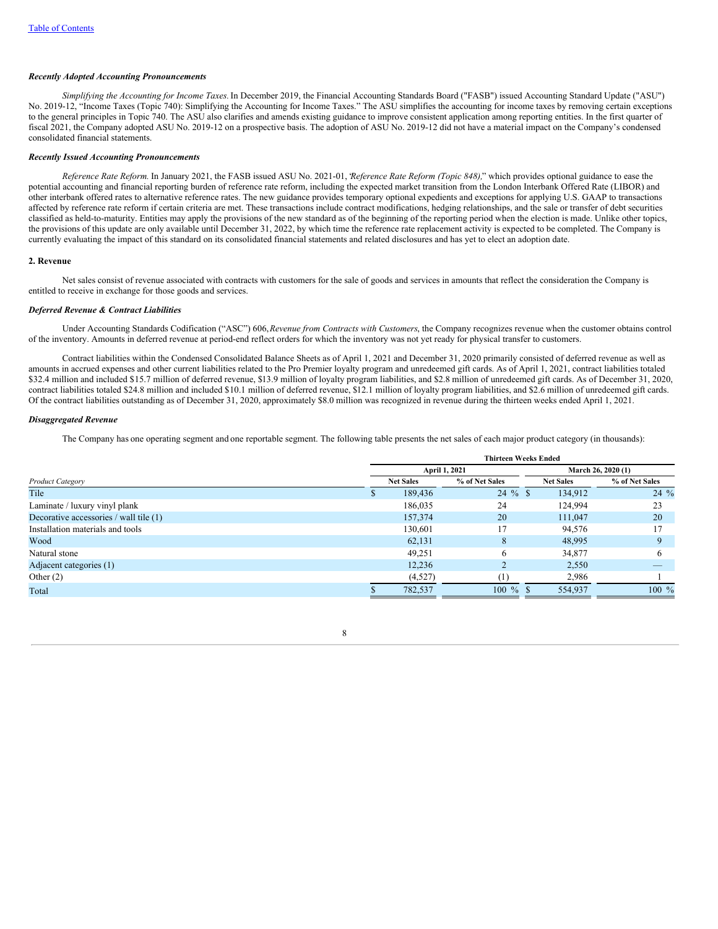### *Recently Adopted Accounting Pronouncements*

*Simplifying the Accounting for Income Taxes.*In December 2019, the Financial Accounting Standards Board ("FASB") issued Accounting Standard Update ("ASU") No. 2019-12, "Income Taxes (Topic 740): Simplifying the Accounting for Income Taxes." The ASU simplifies the accounting for income taxes by removing certain exceptions to the general principles in Topic 740. The ASU also clarifies and amends existing guidance to improve consistent application among reporting entities. In the first quarter of fiscal 2021, the Company adopted ASU No. 2019-12 on a prospective basis. The adoption of ASU No. 2019-12 did not have a material impact on the Company's condensed consolidated financial statements.

#### *Recently Issued Accounting Pronouncements*

*Reference Rate Reform.* In January 2021, the FASB issued ASU No. 2021-01, "*Reference Rate Reform (Topic 848),*" which provides optional guidance to ease the potential accounting and financial reporting burden of reference rate reform, including the expected market transition from the London Interbank Offered Rate (LIBOR) and other interbank offered rates to alternative reference rates. The new guidance provides temporary optional expedients and exceptions for applying U.S. GAAP to transactions affected by reference rate reform if certain criteria are met. These transactions include contract modifications, hedging relationships, and the sale or transfer of debt securities classified as held-to-maturity. Entities may apply the provisions of the new standard as of the beginning of the reporting period when the election is made. Unlike other topics, the provisions of this update are only available until December 31, 2022, by which time the reference rate replacement activity is expected to be completed. The Company is currently evaluating the impact of this standard on its consolidated financial statements and related disclosures and has yet to elect an adoption date.

#### **2. Revenue**

Net sales consist of revenue associated with contracts with customers for the sale of goods and services in amounts that reflect the consideration the Company is entitled to receive in exchange for those goods and services.

# *Deferred Revenue & Contract Liabilities*

Under Accounting Standards Codification ("ASC") 606,*Revenue from Contracts with Customers*, the Company recognizes revenue when the customer obtains control of the inventory. Amounts in deferred revenue at period-end reflect orders for which the inventory was not yet ready for physical transfer to customers.

Contract liabilities within the Condensed Consolidated Balance Sheets as of April 1, 2021 and December 31, 2020 primarily consisted of deferred revenue as well as amounts in accrued expenses and other current liabilities related to the Pro Premier loyalty program and unredeemed gift cards. As of April 1, 2021, contract liabilities totaled \$32.4 million and included \$15.7 million of deferred revenue, \$13.9 million of loyalty program liabilities, and \$2.8 million of unredeemed gift cards. As of December 31, 2020, contract liabilities totaled \$24.8 million and included \$10.1 million of deferred revenue, \$12.1 million of loyalty program liabilities, and \$2.6 million of unredeemed gift cards. Of the contract liabilities outstanding as of December 31, 2020, approximately \$8.0 million was recognized in revenue during the thirteen weeks ended April 1, 2021.

#### *Disaggregated Revenue*

The Company has one operating segment and one reportable segment. The following table presents the net sales of each major product category (in thousands):

|                                        | <b>Thirteen Weeks Ended</b> |                  |                |                  |                    |  |  |  |  |  |  |
|----------------------------------------|-----------------------------|------------------|----------------|------------------|--------------------|--|--|--|--|--|--|
|                                        |                             |                  | April 1, 2021  |                  | March 26, 2020 (1) |  |  |  |  |  |  |
| <b>Product Category</b>                |                             | <b>Net Sales</b> | % of Net Sales | <b>Net Sales</b> | % of Net Sales     |  |  |  |  |  |  |
| Tile                                   |                             | 189,436          | $24 \%$ \$     | 134,912          | $24\%$             |  |  |  |  |  |  |
| Laminate / luxury vinyl plank          |                             | 186,035          | 24             | 124,994          | 23                 |  |  |  |  |  |  |
| Decorative accessories / wall tile (1) |                             | 157,374          | 20             | 111,047          | 20                 |  |  |  |  |  |  |
| Installation materials and tools       |                             | 130,601          | 17             | 94,576           | 17                 |  |  |  |  |  |  |
| Wood                                   |                             | 62,131           | 8              | 48,995           | 9                  |  |  |  |  |  |  |
| Natural stone                          |                             | 49.251           | 6              | 34,877           | 6                  |  |  |  |  |  |  |
| Adjacent categories (1)                |                             | 12,236           | $\bigcap$      | 2,550            |                    |  |  |  |  |  |  |
| Other $(2)$                            |                             | (4,527)          | (1)            | 2,986            |                    |  |  |  |  |  |  |
| Total                                  |                             | 782,537          | $100 \%$ \$    | 554,937          | $100\%$            |  |  |  |  |  |  |

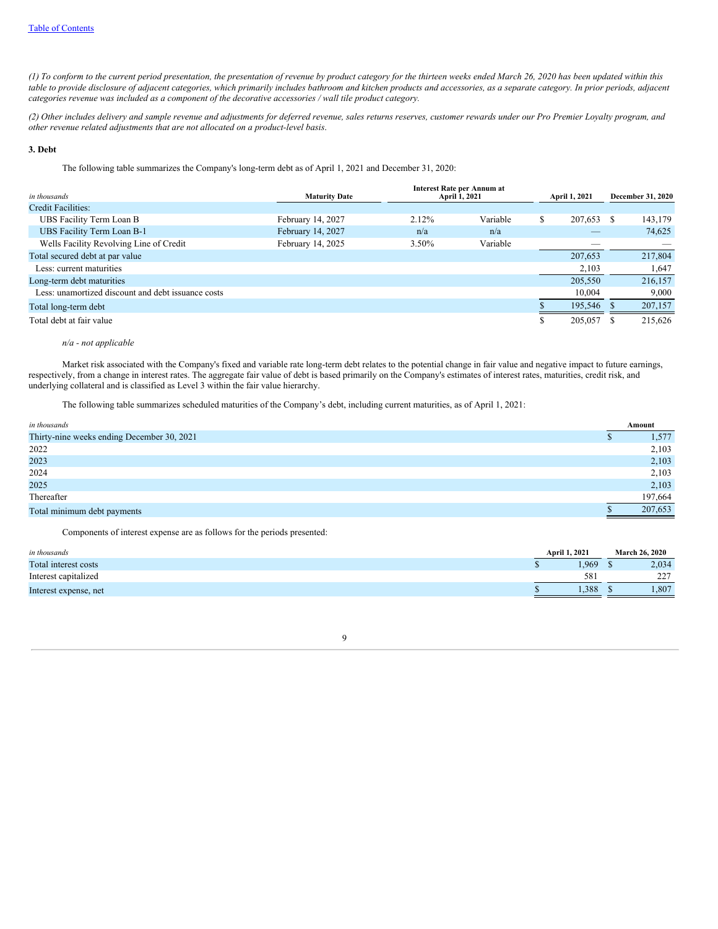(1) To conform to the current period presentation, the presentation of revenue by product category for the thirteen weeks ended March 26, 2020 has been updated within this table to provide disclosure of adjacent categories, which primarily includes bathroom and kitchen products and accessories, as a separate category. In prior periods, adjacent *categories revenue was included as a component of the decorative accessories / wall tile product category.*

(2) Other includes delivery and sample revenue and adjustments for deferred revenue, sales returns reserves, customer rewards under our Pro Premier Loyalty program, and *other revenue related adjustments that are not allocated on a product-level basis*.

#### **3. Debt**

The following table summarizes the Company's long-term debt as of April 1, 2021 and December 31, 2020:

| in thousands                                       | <b>Maturity Date</b> | <b>Interest Rate per Annum at</b><br>April 1, 2021 |          | <b>April 1, 2021</b> |   | <b>December 31, 2020</b> |
|----------------------------------------------------|----------------------|----------------------------------------------------|----------|----------------------|---|--------------------------|
| <b>Credit Facilities:</b>                          |                      |                                                    |          |                      |   |                          |
| UBS Facility Term Loan B                           | February 14, 2027    | 2.12%                                              | Variable | \$<br>207,653        | S | 143,179                  |
| UBS Facility Term Loan B-1                         | February 14, 2027    | n/a                                                | n/a      |                      |   | 74,625                   |
| Wells Facility Revolving Line of Credit            | February 14, 2025    | 3.50%                                              | Variable |                      |   |                          |
| Total secured debt at par value                    |                      |                                                    |          | 207,653              |   | 217,804                  |
| Less: current maturities                           |                      |                                                    |          | 2,103                |   | 1,647                    |
| Long-term debt maturities                          |                      |                                                    |          | 205,550              |   | 216,157                  |
| Less: unamortized discount and debt issuance costs |                      |                                                    |          | 10,004               |   | 9,000                    |
| Total long-term debt                               |                      |                                                    |          | 195,546              |   | 207,157                  |
| Total debt at fair value                           |                      |                                                    |          | 205,057              |   | 215,626                  |

# *n/a - not applicable*

Market risk associated with the Company's fixed and variable rate long-term debt relates to the potential change in fair value and negative impact to future earnings, respectively, from a change in interest rates. The aggregate fair value of debt is based primarily on the Company's estimates of interest rates, maturities, credit risk, and underlying collateral and is classified as Level 3 within the fair value hierarchy.

The following table summarizes scheduled maturities of the Company's debt, including current maturities, as of April 1, 2021:

| in thousands                               | Amount  |
|--------------------------------------------|---------|
| Thirty-nine weeks ending December 30, 2021 | 1,577   |
| 2022                                       | 2,103   |
| 2023                                       | 2,103   |
| 2024                                       | 2,103   |
| 2025                                       | 2,103   |
| Thereafter                                 | 197,664 |
| Total minimum debt payments                | 207,653 |

Components of interest expense are as follows for the periods presented:

| in thousands          | <b>April 1, 2021</b> |  | <b>March 26, 2020</b> |  |
|-----------------------|----------------------|--|-----------------------|--|
| Total interest costs  | .969                 |  | 2,034                 |  |
| Interest capitalized  | 581                  |  | 227<br><u>_</u>       |  |
| Interest expense, net | .388                 |  | 1,807                 |  |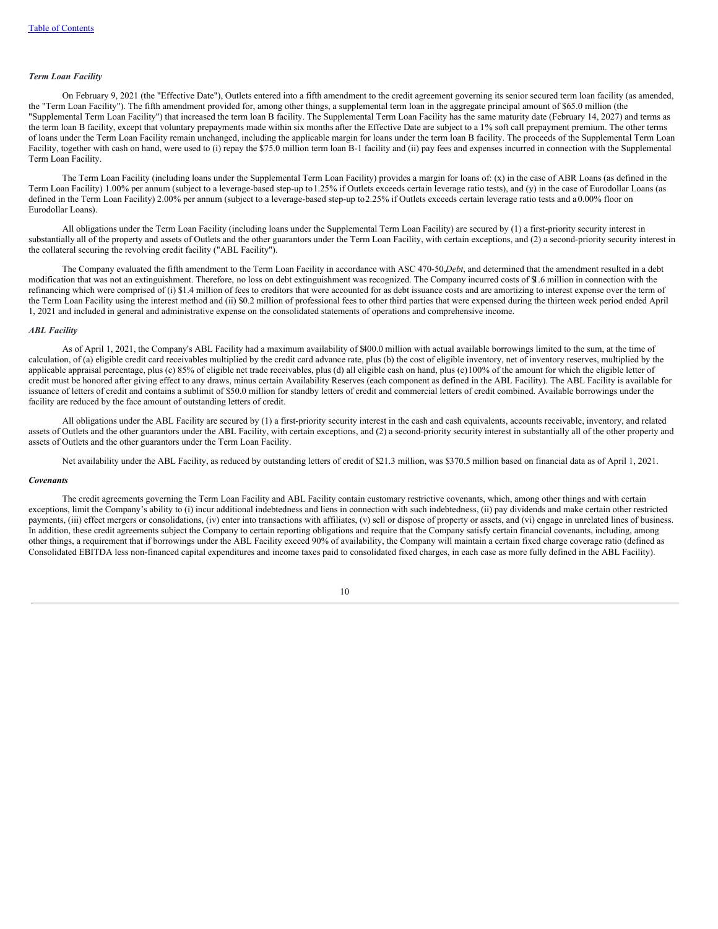# *Term Loan Facility*

On February 9, 2021 (the "Effective Date"), Outlets entered into a fifth amendment to the credit agreement governing its senior secured term loan facility (as amended, the "Term Loan Facility"). The fifth amendment provided for, among other things, a supplemental term loan in the aggregate principal amount of \$65.0 million (the "Supplemental Term Loan Facility") that increased the term loan B facility. The Supplemental Term Loan Facility has the same maturity date (February 14, 2027) and terms as the term loan B facility, except that voluntary prepayments made within six months after the Effective Date are subject to a 1% soft call prepayment premium. The other terms of loans under the Term Loan Facility remain unchanged, including the applicable margin for loans under the term loan B facility. The proceeds of the Supplemental Term Loan Facility, together with cash on hand, were used to (i) repay the \$75.0 million term loan B-1 facility and (ii) pay fees and expenses incurred in connection with the Supplemental Term Loan Facility.

The Term Loan Facility (including loans under the Supplemental Term Loan Facility) provides a margin for loans of: (x) in the case of ABR Loans (as defined in the Term Loan Facility) 1.00% per annum (subject to a leverage-based step-up to1.25% if Outlets exceeds certain leverage ratio tests), and (y) in the case of Eurodollar Loans (as defined in the Term Loan Facility) 2.00% per annum (subject to a leverage-based step-up to 2.25% if Outlets exceeds certain leverage ratio tests and a 0.00% floor on Eurodollar Loans).

All obligations under the Term Loan Facility (including loans under the Supplemental Term Loan Facility) are secured by (1) a first-priority security interest in substantially all of the property and assets of Outlets and the other guarantors under the Term Loan Facility, with certain exceptions, and (2) a second-priority security interest in the collateral securing the revolving credit facility ("ABL Facility").

The Company evaluated the fifth amendment to the Term Loan Facility in accordance with ASC 470-50,*Debt*, and determined that the amendment resulted in a debt modification that was not an extinguishment. Therefore, no loss on debt extinguishment was recognized. The Company incurred costs of \$1.6 million in connection with the refinancing which were comprised of (i) \$1.4 million of fees to creditors that were accounted for as debt issuance costs and are amortizing to interest expense over the term of the Term Loan Facility using the interest method and (ii) \$0.2 million of professional fees to other third parties that were expensed during the thirteen week period ended April 1, 2021 and included in general and administrative expense on the consolidated statements of operations and comprehensive income.

#### *ABL Facility*

As of April 1, 2021, the Company's ABL Facility had a maximum availability of \$400.0 million with actual available borrowings limited to the sum, at the time of calculation, of (a) eligible credit card receivables multiplied by the credit card advance rate, plus (b) the cost of eligible inventory, net of inventory reserves, multiplied by the applicable appraisal percentage, plus (c) 85% of eligible net trade receivables, plus (d) all eligible cash on hand, plus (e)100% of the amount for which the eligible letter of credit must be honored after giving effect to any draws, minus certain Availability Reserves (each component as defined in the ABL Facility). The ABL Facility is available for issuance of letters of credit and contains a sublimit of \$50.0 million for standby letters of credit and commercial letters of credit combined. Available borrowings under the facility are reduced by the face amount of outstanding letters of credit.

All obligations under the ABL Facility are secured by (1) a first-priority security interest in the cash and cash equivalents, accounts receivable, inventory, and related assets of Outlets and the other guarantors under the ABL Facility, with certain exceptions, and (2) a second-priority security interest in substantially all of the other property and assets of Outlets and the other guarantors under the Term Loan Facility.

Net availability under the ABL Facility, as reduced by outstanding letters of credit of \$21.3 million, was \$370.5 million based on financial data as of April 1, 2021.

#### *Covenants*

The credit agreements governing the Term Loan Facility and ABL Facility contain customary restrictive covenants, which, among other things and with certain exceptions, limit the Company's ability to (i) incur additional indebtedness and liens in connection with such indebtedness, (ii) pay dividends and make certain other restricted payments, (iii) effect mergers or consolidations, (iv) enter into transactions with affiliates, (v) sell or dispose of property or assets, and (vi) engage in unrelated lines of business. In addition, these credit agreements subject the Company to certain reporting obligations and require that the Company satisfy certain financial covenants, including, among other things, a requirement that if borrowings under the ABL Facility exceed 90% of availability, the Company will maintain a certain fixed charge coverage ratio (defined as Consolidated EBITDA less non-financed capital expenditures and income taxes paid to consolidated fixed charges, in each case as more fully defined in the ABL Facility).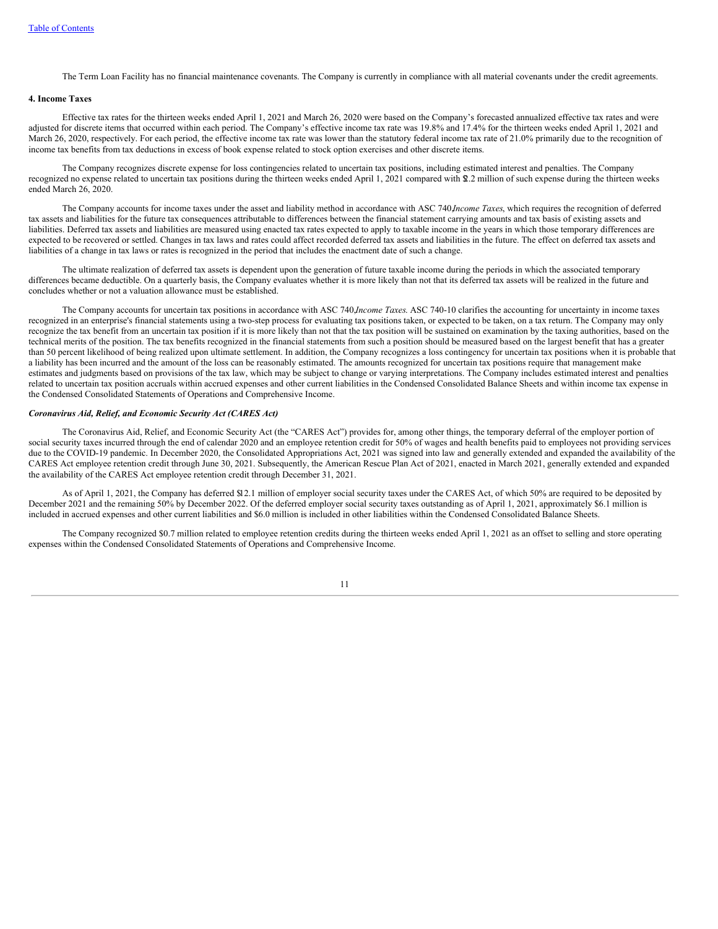The Term Loan Facility has no financial maintenance covenants. The Company is currently in compliance with all material covenants under the credit agreements.

# **4. Income Taxes**

Effective tax rates for the thirteen weeks ended April 1, 2021 and March 26, 2020 were based on the Company's forecasted annualized effective tax rates and were adjusted for discrete items that occurred within each period. The Company's effective income tax rate was 19.8% and 17.4% for the thirteen weeks ended April 1, 2021 and March 26, 2020, respectively. For each period, the effective income tax rate was lower than the statutory federal income tax rate of 21.0% primarily due to the recognition of income tax benefits from tax deductions in excess of book expense related to stock option exercises and other discrete items.

The Company recognizes discrete expense for loss contingencies related to uncertain tax positions, including estimated interest and penalties. The Company recognized no expense related to uncertain tax positions during the thirteen weeks ended April 1, 2021 compared with \$2.2 million of such expense during the thirteen weeks ended March 26, 2020.

The Company accounts for income taxes under the asset and liability method in accordance with ASC 740,*Income Taxes*, which requires the recognition of deferred tax assets and liabilities for the future tax consequences attributable to differences between the financial statement carrying amounts and tax basis of existing assets and liabilities. Deferred tax assets and liabilities are measured using enacted tax rates expected to apply to taxable income in the years in which those temporary differences are expected to be recovered or settled. Changes in tax laws and rates could affect recorded deferred tax assets and liabilities in the future. The effect on deferred tax assets and liabilities of a change in tax laws or rates is recognized in the period that includes the enactment date of such a change.

The ultimate realization of deferred tax assets is dependent upon the generation of future taxable income during the periods in which the associated temporary differences became deductible. On a quarterly basis, the Company evaluates whether it is more likely than not that its deferred tax assets will be realized in the future and concludes whether or not a valuation allowance must be established.

The Company accounts for uncertain tax positions in accordance with ASC 740,*Income Taxes*. ASC 740-10 clarifies the accounting for uncertainty in income taxes recognized in an enterprise's financial statements using a two-step process for evaluating tax positions taken, or expected to be taken, on a tax return. The Company may only recognize the tax benefit from an uncertain tax position if it is more likely than not that the tax position will be sustained on examination by the taxing authorities, based on the technical merits of the position. The tax benefits recognized in the financial statements from such a position should be measured based on the largest benefit that has a greater than 50 percent likelihood of being realized upon ultimate settlement. In addition, the Company recognizes a loss contingency for uncertain tax positions when it is probable that a liability has been incurred and the amount of the loss can be reasonably estimated. The amounts recognized for uncertain tax positions require that management make estimates and judgments based on provisions of the tax law, which may be subject to change or varying interpretations. The Company includes estimated interest and penalties related to uncertain tax position accruals within accrued expenses and other current liabilities in the Condensed Consolidated Balance Sheets and within income tax expense in the Condensed Consolidated Statements of Operations and Comprehensive Income.

# *Coronavirus Aid, Relief, and Economic Security Act (CARES Act)*

The Coronavirus Aid, Relief, and Economic Security Act (the "CARES Act") provides for, among other things, the temporary deferral of the employer portion of social security taxes incurred through the end of calendar 2020 and an employee retention credit for 50% of wages and health benefits paid to employees not providing services due to the COVID-19 pandemic. In December 2020, the Consolidated Appropriations Act, 2021 was signed into law and generally extended and expanded the availability of the CARES Act employee retention credit through June 30, 2021. Subsequently, the American Rescue Plan Act of 2021, enacted in March 2021, generally extended and expanded the availability of the CARES Act employee retention credit through December 31, 2021.

As of April 1, 2021, the Company has deferred \$12.1 million of employer social security taxes under the CARES Act, of which 50% are required to be deposited by December 2021 and the remaining 50% by December 2022. Of the deferred employer social security taxes outstanding as of April 1, 2021, approximately \$6.1 million is included in accrued expenses and other current liabilities and \$6.0 million is included in other liabilities within the Condensed Consolidated Balance Sheets.

The Company recognized \$0.7 million related to employee retention credits during the thirteen weeks ended April 1, 2021 as an offset to selling and store operating expenses within the Condensed Consolidated Statements of Operations and Comprehensive Income.

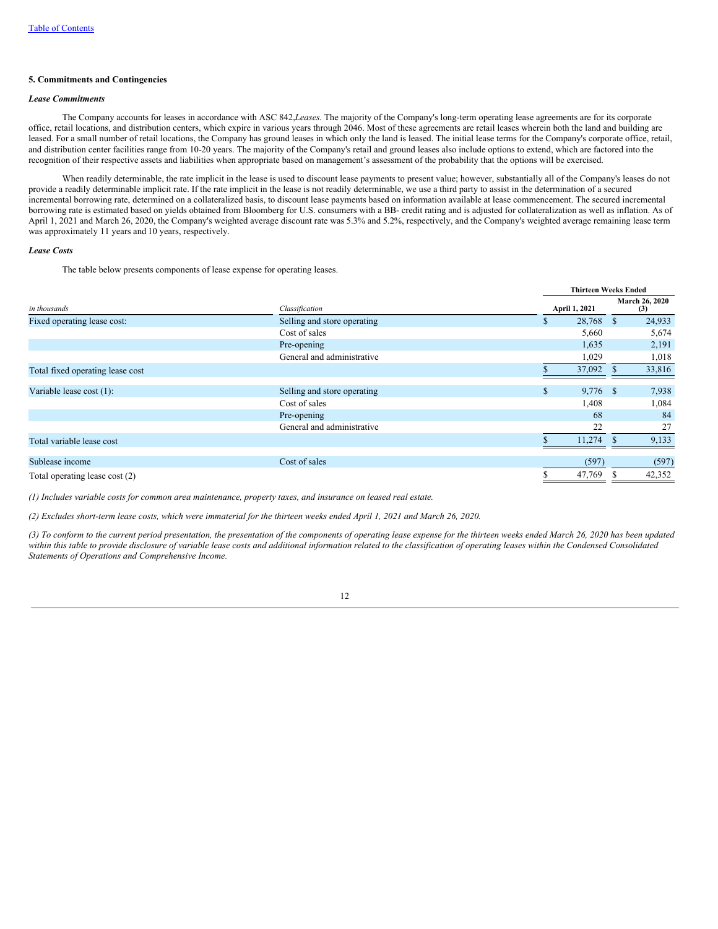#### **5. Commitments and Contingencies**

# *Lease Commitments*

The Company accounts for leases in accordance with ASC 842,*Leases*. The majority of the Company's long-term operating lease agreements are for its corporate office, retail locations, and distribution centers, which expire in various years through 2046. Most of these agreements are retail leases wherein both the land and building are leased. For a small number of retail locations, the Company has ground leases in which only the land is leased. The initial lease terms for the Company's corporate office, retail, and distribution center facilities range from 10-20 years. The majority of the Company's retail and ground leases also include options to extend, which are factored into the recognition of their respective assets and liabilities when appropriate based on management's assessment of the probability that the options will be exercised.

When readily determinable, the rate implicit in the lease is used to discount lease payments to present value; however, substantially all of the Company's leases do not provide a readily determinable implicit rate. If the rate implicit in the lease is not readily determinable, we use a third party to assist in the determination of a secured incremental borrowing rate, determined on a collateralized basis, to discount lease payments based on information available at lease commencement. The secured incremental borrowing rate is estimated based on yields obtained from Bloomberg for U.S. consumers with a BB- credit rating and is adjusted for collateralization as well as inflation. As of April 1, 2021 and March 26, 2020, the Company's weighted average discount rate was 5.3% and 5.2%, respectively, and the Company's weighted average remaining lease term was approximately 11 years and 10 years, respectively.

#### *Lease Costs*

The table below presents components of lease expense for operating leases.

|                                  |                             |               | <b>Thirteen Weeks Ended</b> |                              |  |  |  |
|----------------------------------|-----------------------------|---------------|-----------------------------|------------------------------|--|--|--|
| in thousands                     | Classification              | April 1, 2021 |                             | <b>March 26, 2020</b><br>(3) |  |  |  |
| Fixed operating lease cost:      | Selling and store operating | \$            | 28,768 \$                   | 24,933                       |  |  |  |
|                                  | Cost of sales               |               | 5,660                       | 5,674                        |  |  |  |
|                                  | Pre-opening                 |               | 1,635                       | 2,191                        |  |  |  |
|                                  | General and administrative  |               | 1,029                       | 1,018                        |  |  |  |
| Total fixed operating lease cost |                             |               | 37,092                      | 33,816                       |  |  |  |
| Variable lease cost (1):         | Selling and store operating | $\mathbb{S}$  | $9,776$ \$                  | 7,938                        |  |  |  |
|                                  | Cost of sales               |               | 1,408                       | 1,084                        |  |  |  |
|                                  | Pre-opening                 |               | 68                          | 84                           |  |  |  |
|                                  | General and administrative  |               | 22                          | 27                           |  |  |  |
| Total variable lease cost        |                             |               | 11,274                      | 9,133                        |  |  |  |
| Sublease income                  | Cost of sales               |               | (597)                       | (597)                        |  |  |  |
| Total operating lease cost (2)   |                             |               | 47,769                      | 42,352                       |  |  |  |

*(1) Includes variable costs for common area maintenance, property taxes, and insurance on leased real estate.*

(2) Excludes short-term lease costs, which were immaterial for the thirteen weeks ended April 1, 2021 and March 26, 2020.

(3) To conform to the current period presentation, the presentation of the components of operating lease expense for the thirteen weeks ended March 26, 2020 has been updated within this table to provide disclosure of variable lease costs and additional information related to the classification of operating leases within the Condensed Consolidated *Statements of Operations and Comprehensive Income.*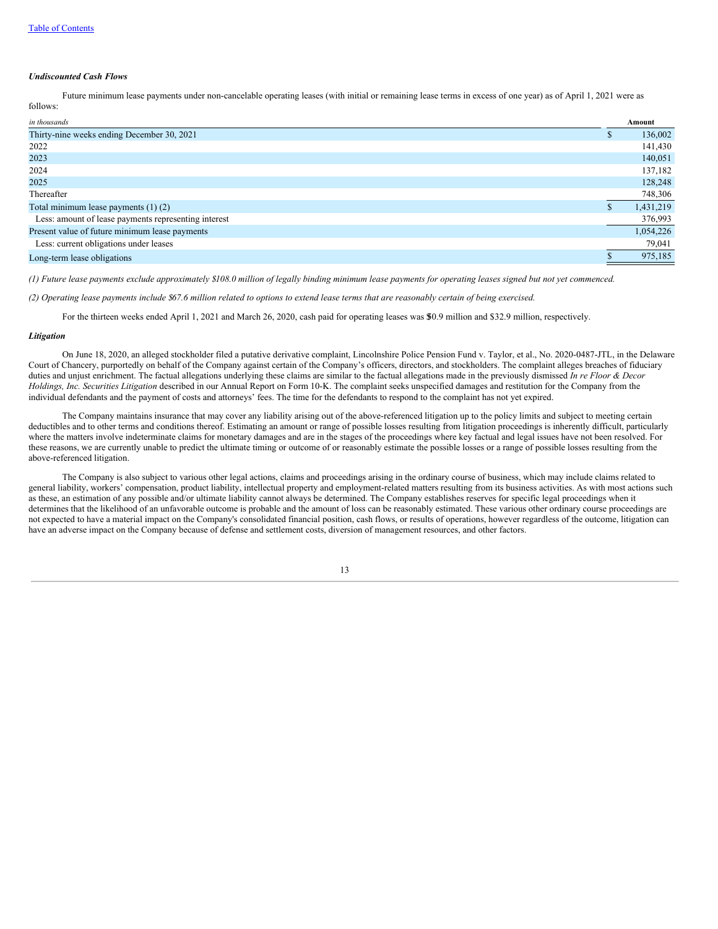# *Undiscounted Cash Flows*

Future minimum lease payments under non-cancelable operating leases (with initial or remaining lease terms in excess of one year) as of April 1, 2021 were as follows:

| in thousands                                         | Amount    |
|------------------------------------------------------|-----------|
| Thirty-nine weeks ending December 30, 2021           | 136,002   |
| 2022                                                 | 141,430   |
| 2023                                                 | 140,051   |
| 2024                                                 | 137,182   |
| 2025                                                 | 128,248   |
| Thereafter                                           | 748,306   |
| Total minimum lease payments (1)(2)                  | 1,431,219 |
| Less: amount of lease payments representing interest | 376,993   |
| Present value of future minimum lease payments       | 1,054,226 |
| Less: current obligations under leases               | 79,041    |
| Long-term lease obligations                          | 975,185   |

(1) Future lease payments exclude approximately \$108.0 million of legally binding minimum lease payments for operating leases signed but not yet commenced.

(2) Operating lease payments include \$67.6 million related to options to extend lease terms that are reasonably certain of being exercised.

For the thirteen weeks ended April 1, 2021 and March 26, 2020, cash paid for operating leases was \$50.9 million and \$32.9 million, respectively.

### *Litigation*

On June 18, 2020, an alleged stockholder filed a putative derivative complaint, Lincolnshire Police Pension Fund v. Taylor, et al., No. 2020-0487-JTL, in the Delaware Court of Chancery, purportedly on behalf of the Company against certain of the Company's officers, directors, and stockholders. The complaint alleges breaches of fiduciary duties and unjust enrichment. The factual allegations underlying these claims are similar to the factual allegations made in the previously dismissed *In re Floor & Decor Holdings, Inc. Securities Litigation* described in our Annual Report on Form 10-K. The complaint seeks unspecified damages and restitution for the Company from the individual defendants and the payment of costs and attorneys' fees. The time for the defendants to respond to the complaint has not yet expired.

The Company maintains insurance that may cover any liability arising out of the above-referenced litigation up to the policy limits and subject to meeting certain deductibles and to other terms and conditions thereof. Estimating an amount or range of possible losses resulting from litigation proceedings is inherently difficult, particularly where the matters involve indeterminate claims for monetary damages and are in the stages of the proceedings where key factual and legal issues have not been resolved. For these reasons, we are currently unable to predict the ultimate timing or outcome of or reasonably estimate the possible losses or a range of possible losses resulting from the above-referenced litigation.

The Company is also subject to various other legal actions, claims and proceedings arising in the ordinary course of business, which may include claims related to general liability, workers' compensation, product liability, intellectual property and employment-related matters resulting from its business activities. As with most actions such as these, an estimation of any possible and/or ultimate liability cannot always be determined. The Company establishes reserves for specific legal proceedings when it determines that the likelihood of an unfavorable outcome is probable and the amount of loss can be reasonably estimated. These various other ordinary course proceedings are not expected to have a material impact on the Company's consolidated financial position, cash flows, or results of operations, however regardless of the outcome, litigation can have an adverse impact on the Company because of defense and settlement costs, diversion of management resources, and other factors.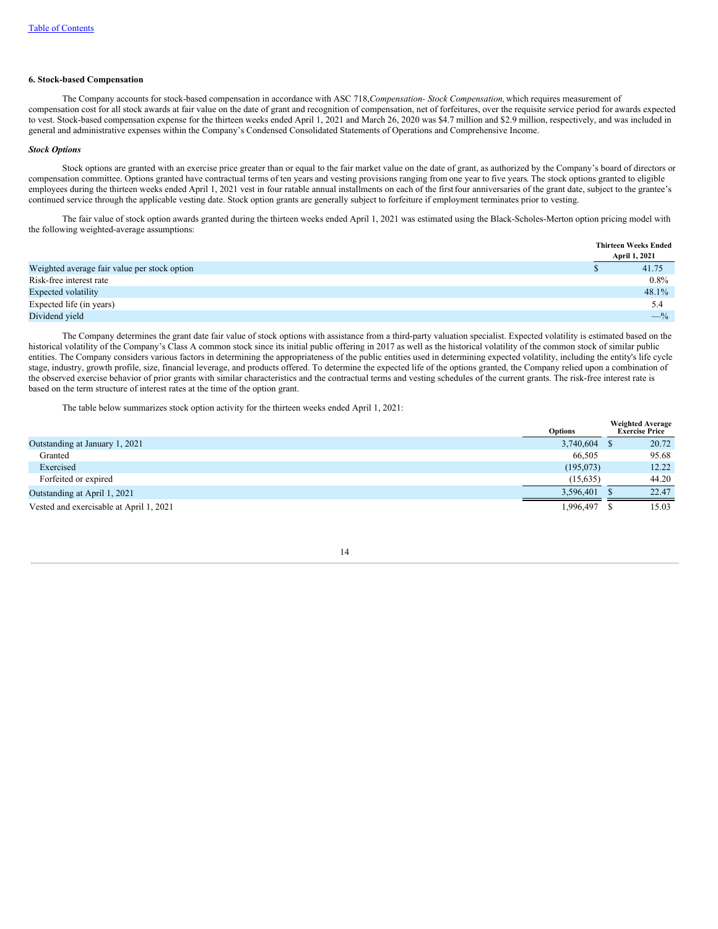#### **6. Stock-based Compensation**

The Company accounts for stock-based compensation in accordance with ASC 718,*Compensation- Stock Compensation,* which requires measurement of compensation cost for all stock awards at fair value on the date of grant and recognition of compensation, net of forfeitures, over the requisite service period for awards expected to vest. Stock-based compensation expense for the thirteen weeks ended April 1, 2021 and March 26, 2020 was \$4.7 million and \$2.9 million, respectively, and was included in general and administrative expenses within the Company's Condensed Consolidated Statements of Operations and Comprehensive Income.

# *Stock Options*

Stock options are granted with an exercise price greater than or equal to the fair market value on the date of grant, as authorized by the Company's board of directors or compensation committee. Options granted have contractual terms of ten years and vesting provisions ranging from one year to five years. The stock options granted to eligible employees during the thirteen weeks ended April 1, 2021 vest in four ratable annual installments on each of the first four anniversaries of the grant date, subject to the grantee's continued service through the applicable vesting date. Stock option grants are generally subject to forfeiture if employment terminates prior to vesting.

The fair value of stock option awards granted during the thirteen weeks ended April 1, 2021 was estimated using the Black-Scholes-Merton option pricing model with the following weighted-average assumptions:

|                                              | <b>Thirteen Weeks Ended</b> |
|----------------------------------------------|-----------------------------|
|                                              | <b>April 1, 2021</b>        |
| Weighted average fair value per stock option | 41.75                       |
| Risk-free interest rate                      | 0.8%                        |
| <b>Expected volatility</b>                   | 48.1%                       |
| Expected life (in years)                     | 5.4                         |
| Dividend yield                               | $-$ %                       |

The Company determines the grant date fair value of stock options with assistance from a third-party valuation specialist. Expected volatility is estimated based on the historical volatility of the Company's Class A common stock since its initial public offering in 2017 as well as the historical volatility of the common stock of similar public entities. The Company considers various factors in determining the appropriateness of the public entities used in determining expected volatility, including the entity's life cycle stage, industry, growth profile, size, financial leverage, and products offered. To determine the expected life of the options granted, the Company relied upon a combination of the observed exercise behavior of prior grants with similar characteristics and the contractual terms and vesting schedules of the current grants. The risk-free interest rate is based on the term structure of interest rates at the time of the option grant.

The table below summarizes stock option activity for the thirteen weeks ended April 1, 2021:

|                                         | Options   | <b>Weighted Average</b><br><b>Exercise Price</b> |
|-----------------------------------------|-----------|--------------------------------------------------|
| Outstanding at January 1, 2021          | 3,740,604 | 20.72                                            |
| Granted                                 | 66.505    | 95.68                                            |
| Exercised                               | (195,073) | 12.22                                            |
| Forfeited or expired                    | (15, 635) | 44.20                                            |
| Outstanding at April 1, 2021            | 3,596,401 | 22.47                                            |
| Vested and exercisable at April 1, 2021 | 1,996,497 | 15.03                                            |

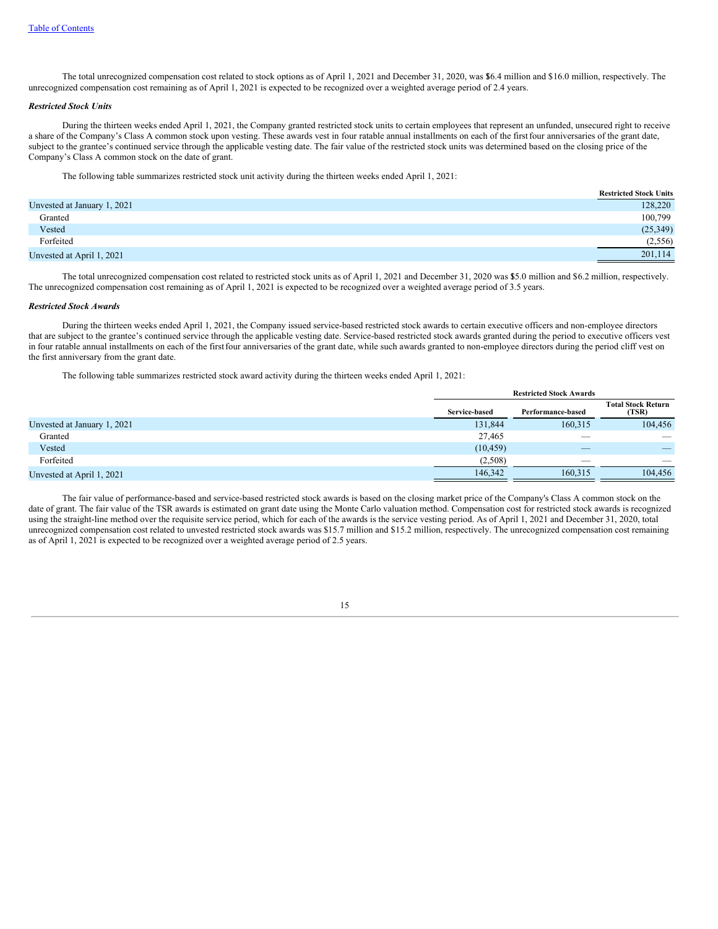The total unrecognized compensation cost related to stock options as of April 1, 2021 and December 31, 2020, was \$6.4 million and \$16.0 million, respectively. The unrecognized compensation cost remaining as of April 1, 2021 is expected to be recognized over a weighted average period of 2.4 years.

# *Restricted Stock Units*

During the thirteen weeks ended April 1, 2021, the Company granted restricted stock units to certain employees that represent an unfunded, unsecured right to receive a share of the Company's Class A common stock upon vesting. These awards vest in four ratable annual installments on each of the first four anniversaries of the grant date, subject to the grantee's continued service through the applicable vesting date. The fair value of the restricted stock units was determined based on the closing price of the Company's Class A common stock on the date of grant.

The following table summarizes restricted stock unit activity during the thirteen weeks ended April 1, 2021:

|                             | <b>Restricted Stock Units</b> |
|-----------------------------|-------------------------------|
| Unvested at January 1, 2021 | 128,220                       |
| Granted                     | 100,799                       |
| Vested                      | (25, 349)                     |
| Forfeited                   | (2,556)                       |
| Unvested at April 1, 2021   | 201,114                       |

The total unrecognized compensation cost related to restricted stock units as of April 1, 2021 and December 31, 2020 was \$5.0 million and \$6.2 million, respectively. The unrecognized compensation cost remaining as of April 1, 2021 is expected to be recognized over a weighted average period of 3.5 years.

#### *Restricted Stock Awards*

During the thirteen weeks ended April 1, 2021, the Company issued service-based restricted stock awards to certain executive officers and non-employee directors that are subject to the grantee's continued service through the applicable vesting date. Service-based restricted stock awards granted during the period to executive officers vest in four ratable annual installments on each of the first four anniversaries of the grant date, while such awards granted to non-employee directors during the period cliff vest on the first anniversary from the grant date.

The following table summarizes restricted stock award activity during the thirteen weeks ended April 1, 2021:

|                             | <b>Restricted Stock Awards</b> |                   |                                    |  |  |
|-----------------------------|--------------------------------|-------------------|------------------------------------|--|--|
|                             | <b>Service-based</b>           | Performance-based | <b>Total Stock Return</b><br>(TSR) |  |  |
| Unvested at January 1, 2021 | 131,844                        | 160,315           | 104,456                            |  |  |
| Granted                     | 27,465                         |                   |                                    |  |  |
| Vested                      | (10, 459)                      | __                | __                                 |  |  |
| Forfeited                   | (2,508)                        | __                | _                                  |  |  |
| Unvested at April 1, 2021   | 146,342                        | 160,315           | 104,456                            |  |  |

The fair value of performance-based and service-based restricted stock awards is based on the closing market price of the Company's Class A common stock on the date of grant. The fair value of the TSR awards is estimated on grant date using the Monte Carlo valuation method. Compensation cost for restricted stock awards is recognized using the straight-line method over the requisite service period, which for each of the awards is the service vesting period. As of April 1, 2021 and December 31, 2020, total unrecognized compensation cost related to unvested restricted stock awards was \$15.7 million and \$15.2 million, respectively. The unrecognized compensation cost remaining as of April 1, 2021 is expected to be recognized over a weighted average period of 2.5 years.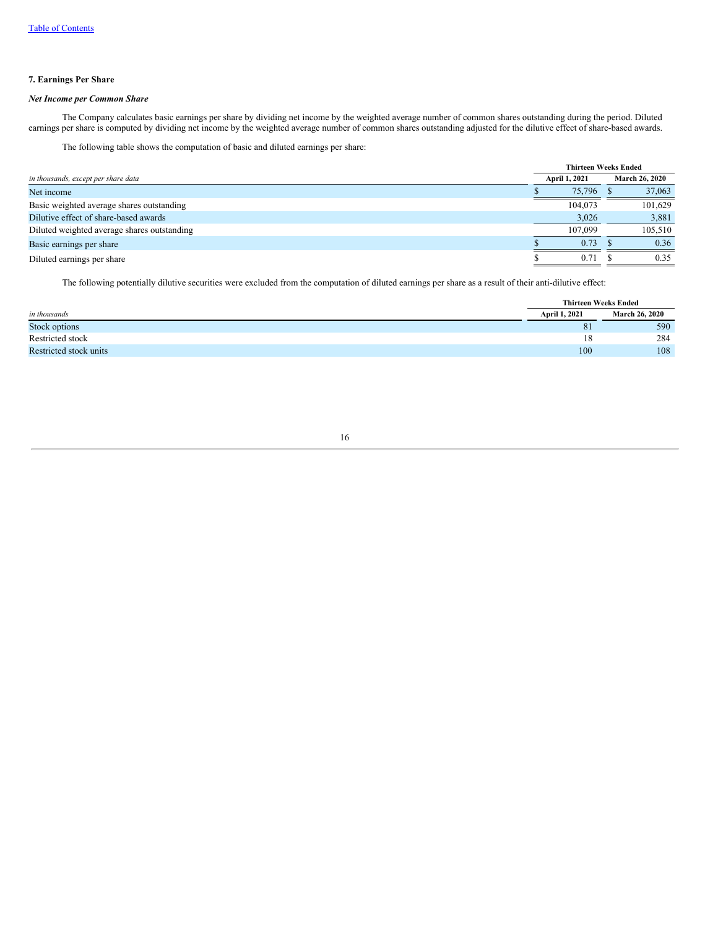### **7. Earnings Per Share**

# *Net Income per Common Share*

The Company calculates basic earnings per share by dividing net income by the weighted average number of common shares outstanding during the period. Diluted earnings per share is computed by dividing net income by the weighted average number of common shares outstanding adjusted for the dilutive effect of share-based awards.

The following table shows the computation of basic and diluted earnings per share:

|                                             | <b>Thirteen Weeks Ended</b> |                       |         |  |  |
|---------------------------------------------|-----------------------------|-----------------------|---------|--|--|
| in thousands, except per share data         | April 1, 2021               | <b>March 26, 2020</b> |         |  |  |
| Net income                                  | 75,796                      |                       | 37,063  |  |  |
| Basic weighted average shares outstanding   | 104,073                     |                       | 101,629 |  |  |
| Dilutive effect of share-based awards       | 3.026                       |                       | 3,881   |  |  |
| Diluted weighted average shares outstanding | 107,099                     |                       | 105.510 |  |  |
| Basic earnings per share                    | 0.73                        |                       | 0.36    |  |  |
| Diluted earnings per share                  | 0.71                        |                       | 0.35    |  |  |

The following potentially dilutive securities were excluded from the computation of diluted earnings per share as a result of their anti-dilutive effect:

<span id="page-15-0"></span>

|                        | <b>Thirteen Weeks Ended</b> |                       |  |
|------------------------|-----------------------------|-----------------------|--|
| in thousands           | <b>April 1, 2021</b>        | <b>March 26, 2020</b> |  |
| Stock options          | 81                          | 590                   |  |
| Restricted stock       | 18                          | 284                   |  |
| Restricted stock units | 100                         | 108                   |  |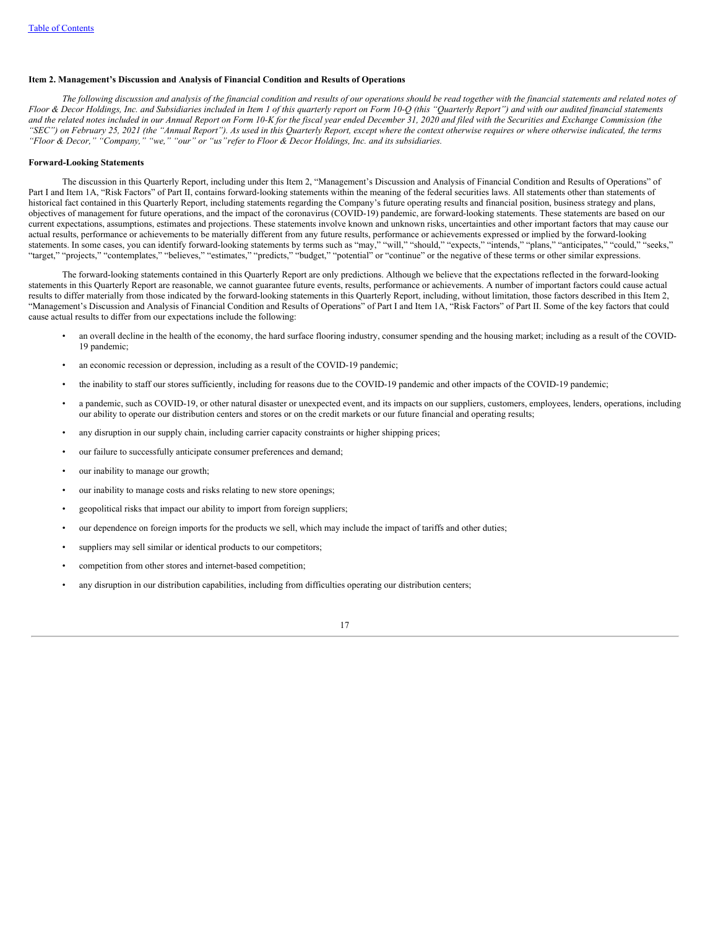#### **Item 2. Management's Discussion and Analysis of Financial Condition and Results of Operations**

The following discussion and analysis of the financial condition and results of our operations should be read together with the financial statements and related notes of Floor & Decor Holdings, Inc. and Subsidiaries included in Item 1 of this quarterly report on Form 10-Q (this "Quarterly Report") and with our audited financial statements and the related notes included in our Annual Report on Form 10-K for the fiscal year ended December 31, 2020 and filed with the Securities and Exchange Commission (the "SEC") on February 25, 2021 (the "Annual Report"). As used in this Quarterly Report, except where the context otherwise requires or where otherwise indicated, the terms "Floor & Decor," "Company," "we," "our" or "us" refer to Floor & Decor Holdings, Inc. and its subsidiaries.

#### <span id="page-16-0"></span>**Forward-Looking Statements**

The discussion in this Quarterly Report, including under this Item 2, "Management's Discussion and Analysis of Financial Condition and Results of Operations" of Part I and Item 1A, "Risk Factors" of Part II, contains forward-looking statements within the meaning of the federal securities laws. All statements other than statements of historical fact contained in this Quarterly Report, including statements regarding the Company's future operating results and financial position, business strategy and plans, objectives of management for future operations, and the impact of the coronavirus (COVID-19) pandemic, are forward-looking statements. These statements are based on our current expectations, assumptions, estimates and projections. These statements involve known and unknown risks, uncertainties and other important factors that may cause our actual results, performance or achievements to be materially different from any future results, performance or achievements expressed or implied by the forward-looking statements. In some cases, you can identify forward-looking statements by terms such as "may," "will," "should," "expects," "intends," "plans," "anticipates," "could," "target," "projects," "contemplates," "believes," "estimates," "predicts," "budget," "potential" or "continue" or the negative of these terms or other similar expressions.

The forward-looking statements contained in this Quarterly Report are only predictions. Although we believe that the expectations reflected in the forward-looking statements in this Quarterly Report are reasonable, we cannot guarantee future events, results, performance or achievements. A number of important factors could cause actual results to differ materially from those indicated by the forward-looking statements in this Quarterly Report, including, without limitation, those factors described in this Item 2, "Management's Discussion and Analysis of Financial Condition and Results of Operations" of Part I and Item 1A, "Risk Factors" of Part II. Some of the key factors that could cause actual results to differ from our expectations include the following:

- an overall decline in the health of the economy, the hard surface flooring industry, consumer spending and the housing market; including as a result of the COVID-19 pandemic;
- an economic recession or depression, including as a result of the COVID-19 pandemic;
- the inability to staff our stores sufficiently, including for reasons due to the COVID-19 pandemic and other impacts of the COVID-19 pandemic;
- a pandemic, such as COVID-19, or other natural disaster or unexpected event, and its impacts on our suppliers, customers, employees, lenders, operations, including our ability to operate our distribution centers and stores or on the credit markets or our future financial and operating results;
- any disruption in our supply chain, including carrier capacity constraints or higher shipping prices;
- our failure to successfully anticipate consumer preferences and demand;
- our inability to manage our growth;
- our inability to manage costs and risks relating to new store openings;
- geopolitical risks that impact our ability to import from foreign suppliers;
- our dependence on foreign imports for the products we sell, which may include the impact of tariffs and other duties;
- suppliers may sell similar or identical products to our competitors;
- competition from other stores and internet-based competition;
- any disruption in our distribution capabilities, including from difficulties operating our distribution centers;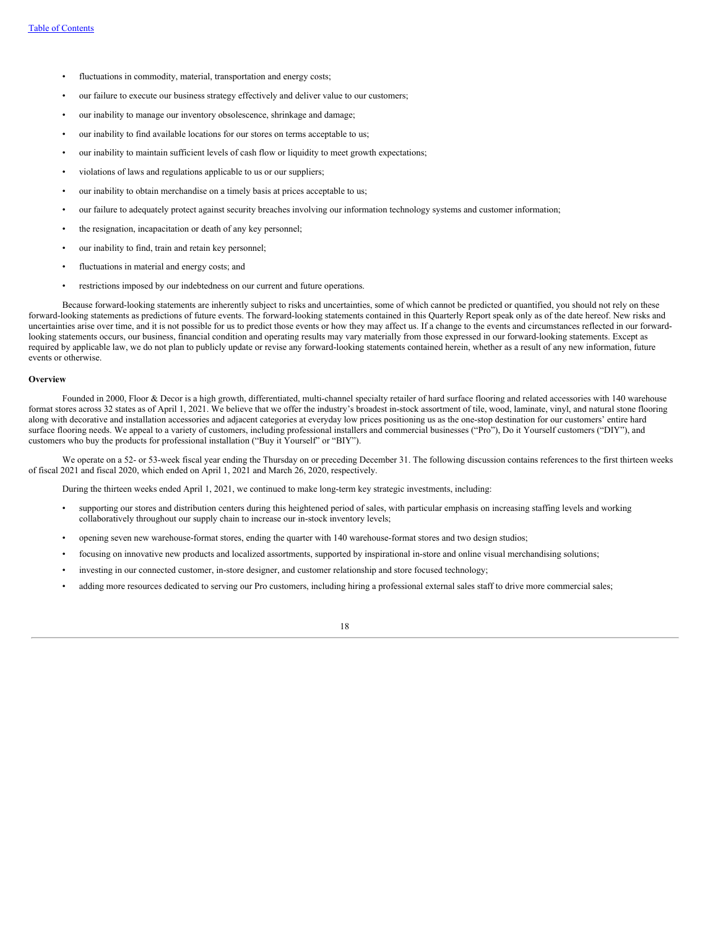- fluctuations in commodity, material, transportation and energy costs;
- our failure to execute our business strategy effectively and deliver value to our customers;
- our inability to manage our inventory obsolescence, shrinkage and damage;
- our inability to find available locations for our stores on terms acceptable to us;
- our inability to maintain sufficient levels of cash flow or liquidity to meet growth expectations;
- violations of laws and regulations applicable to us or our suppliers;
- our inability to obtain merchandise on a timely basis at prices acceptable to us;
- our failure to adequately protect against security breaches involving our information technology systems and customer information;
- the resignation, incapacitation or death of any key personnel;
- our inability to find, train and retain key personnel;
- fluctuations in material and energy costs; and
- restrictions imposed by our indebtedness on our current and future operations.

Because forward-looking statements are inherently subject to risks and uncertainties, some of which cannot be predicted or quantified, you should not rely on these forward-looking statements as predictions of future events. The forward-looking statements contained in this Quarterly Report speak only as of the date hereof. New risks and uncertainties arise over time, and it is not possible for us to predict those events or how they may affect us. If a change to the events and circumstances reflected in our forwardlooking statements occurs, our business, financial condition and operating results may vary materially from those expressed in our forward-looking statements. Except as required by applicable law, we do not plan to publicly update or revise any forward-looking statements contained herein, whether as a result of any new information, future events or otherwise.

#### **Overview**

Founded in 2000, Floor & Decor is a high growth, differentiated, multi-channel specialty retailer of hard surface flooring and related accessories with 140 warehouse format stores across 32 states as of April 1, 2021. We believe that we offer the industry's broadest in-stock assortment of tile, wood, laminate, vinyl, and natural stone flooring along with decorative and installation accessories and adjacent categories at everyday low prices positioning us as the one-stop destination for our customers' entire hard surface flooring needs. We appeal to a variety of customers, including professional installers and commercial businesses ("Pro"), Do it Yourself customers ("DIY"), and customers who buy the products for professional installation ("Buy it Yourself" or "BIY").

We operate on a 52- or 53-week fiscal year ending the Thursday on or preceding December 31. The following discussion contains references to the first thirteen weeks of fiscal 2021 and fiscal 2020, which ended on April 1, 2021 and March 26, 2020, respectively.

During the thirteen weeks ended April 1, 2021, we continued to make long-term key strategic investments, including:

- supporting our stores and distribution centers during this heightened period of sales, with particular emphasis on increasing staffing levels and working collaboratively throughout our supply chain to increase our in-stock inventory levels;
- opening seven new warehouse-format stores, ending the quarter with 140 warehouse-format stores and two design studios;
- focusing on innovative new products and localized assortments, supported by inspirational in-store and online visual merchandising solutions;
- investing in our connected customer, in-store designer, and customer relationship and store focused technology;
- adding more resources dedicated to serving our Pro customers, including hiring a professional external sales staff to drive more commercial sales;

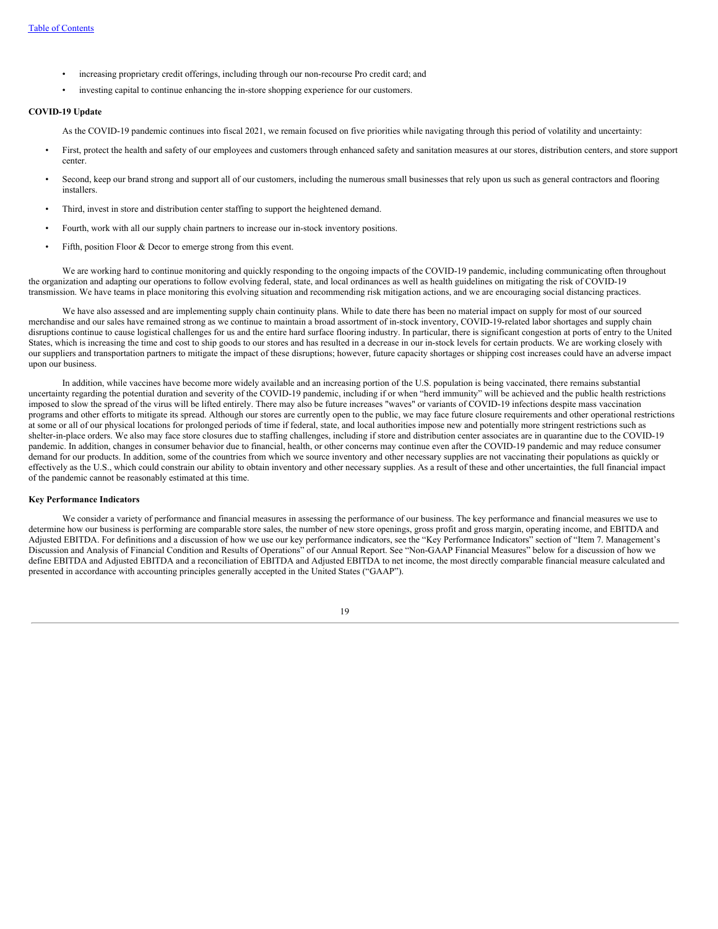- increasing proprietary credit offerings, including through our non-recourse Pro credit card; and
- investing capital to continue enhancing the in-store shopping experience for our customers.

# **COVID-19 Update**

As the COVID-19 pandemic continues into fiscal 2021, we remain focused on five priorities while navigating through this period of volatility and uncertainty:

- First, protect the health and safety of our employees and customers through enhanced safety and sanitation measures at our stores, distribution centers, and store support center.
- Second, keep our brand strong and support all of our customers, including the numerous small businesses that rely upon us such as general contractors and flooring installers.
- Third, invest in store and distribution center staffing to support the heightened demand.
- Fourth, work with all our supply chain partners to increase our in-stock inventory positions.
- Fifth, position Floor & Decor to emerge strong from this event.

We are working hard to continue monitoring and quickly responding to the ongoing impacts of the COVID-19 pandemic, including communicating often throughout the organization and adapting our operations to follow evolving federal, state, and local ordinances as well as health guidelines on mitigating the risk of COVID-19 transmission. We have teams in place monitoring this evolving situation and recommending risk mitigation actions, and we are encouraging social distancing practices.

We have also assessed and are implementing supply chain continuity plans. While to date there has been no material impact on supply for most of our sourced merchandise and our sales have remained strong as we continue to maintain a broad assortment of in-stock inventory, COVID-19-related labor shortages and supply chain disruptions continue to cause logistical challenges for us and the entire hard surface flooring industry. In particular, there is significant congestion at ports of entry to the United States, which is increasing the time and cost to ship goods to our stores and has resulted in a decrease in our in-stock levels for certain products. We are working closely with our suppliers and transportation partners to mitigate the impact of these disruptions; however, future capacity shortages or shipping cost increases could have an adverse impact upon our business.

In addition, while vaccines have become more widely available and an increasing portion of the U.S. population is being vaccinated, there remains substantial uncertainty regarding the potential duration and severity of the COVID-19 pandemic, including if or when "herd immunity" will be achieved and the public health restrictions imposed to slow the spread of the virus will be lifted entirely. There may also be future increases "waves" or variants of COVID-19 infections despite mass vaccination programs and other efforts to mitigate its spread. Although our stores are currently open to the public, we may face future closure requirements and other operational restrictions at some or all of our physical locations for prolonged periods of time if federal, state, and local authorities impose new and potentially more stringent restrictions such as shelter-in-place orders. We also may face store closures due to staffing challenges, including if store and distribution center associates are in quarantine due to the COVID-19 pandemic. In addition, changes in consumer behavior due to financial, health, or other concerns may continue even after the COVID-19 pandemic and may reduce consumer demand for our products. In addition, some of the countries from which we source inventory and other necessary supplies are not vaccinating their populations as quickly or effectively as the U.S., which could constrain our ability to obtain inventory and other necessary supplies. As a result of these and other uncertainties, the full financial impact of the pandemic cannot be reasonably estimated at this time.

#### **Key Performance Indicators**

We consider a variety of performance and financial measures in assessing the performance of our business. The key performance and financial measures we use to determine how our business is performing are comparable store sales, the number of new store openings, gross profit and gross margin, operating income, and EBITDA and Adjusted EBITDA. For definitions and a discussion of how we use our key performance indicators, see the "Key Performance Indicators" section of "Item 7. Management's Discussion and Analysis of Financial Condition and Results of Operations" of our Annual Report. See "Non-GAAP Financial Measures" below for a discussion of how we define EBITDA and Adjusted EBITDA and a reconciliation of EBITDA and Adjusted EBITDA to net income, the most directly comparable financial measure calculated and presented in accordance with accounting principles generally accepted in the United States ("GAAP").

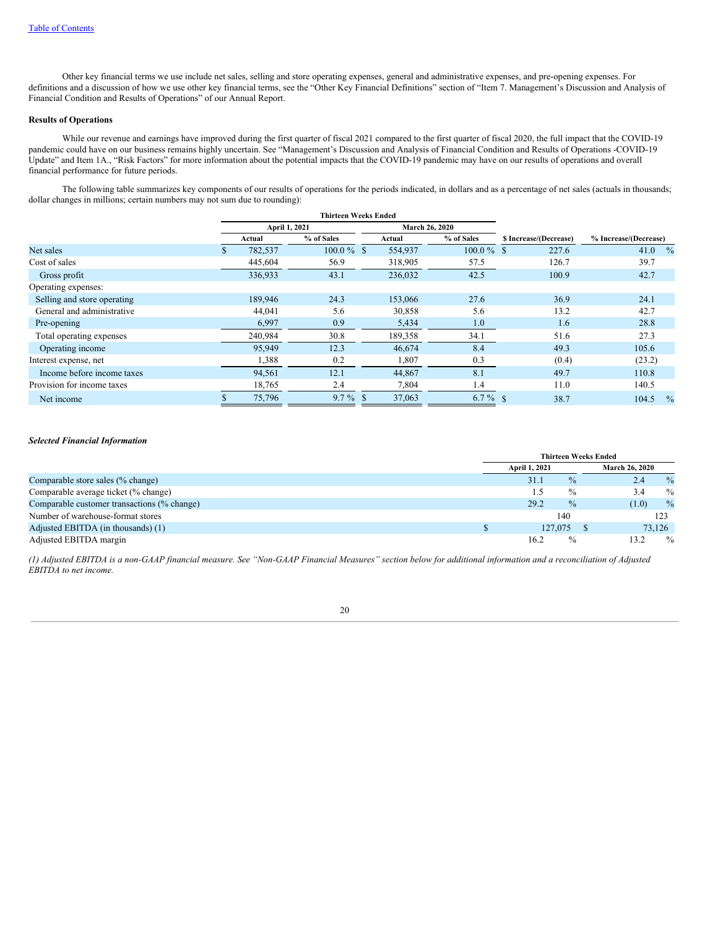Other key financial terms we use include net sales, selling and store operating expenses, general and administrative expenses, and pre-opening expenses. For definitions and a discussion of how we use other key financial terms, see the "Other Key Financial Definitions" section of "Item 7. Management's Discussion and Analysis of Financial Condition and Results of Operations" of our Annual Report.

# **Results of Operations**

While our revenue and earnings have improved during the first quarter of fiscal 2021 compared to the first quarter of fiscal 2020, the full impact that the COVID-19 pandemic could have on our business remains highly uncertain. See "Management's Discussion and Analysis of Financial Condition and Results of Operations -COVID-19 Update" and Item 1A., "Risk Factors" for more information about the potential impacts that the COVID-19 pandemic may have on our results of operations and overall financial performance for future periods.

The following table summarizes key components of our results of operations for the periods indicated, in dollars and as a percentage of net sales (actuals in thousands; dollar changes in millions; certain numbers may not sum due to rounding):

|                             |               |               | <b>Thirteen Weeks Ended</b> |  |                |              |                        |                        |
|-----------------------------|---------------|---------------|-----------------------------|--|----------------|--------------|------------------------|------------------------|
|                             |               | April 1, 2021 |                             |  | March 26, 2020 |              |                        |                        |
|                             |               | Actual        | % of Sales                  |  | Actual         | % of Sales   | \$ Increase/(Decrease) | % Increase/(Decrease)  |
| Net sales                   | $\mathcal{P}$ | 782,537       | $100.0 \%$ \$               |  | 554,937        | $100.0\%$ \$ | 227.6                  | 41.0<br>$\frac{0}{0}$  |
| Cost of sales               |               | 445,604       | 56.9                        |  | 318,905        | 57.5         | 126.7                  | 39.7                   |
| Gross profit                |               | 336,933       | 43.1                        |  | 236,032        | 42.5         | 100.9                  | 42.7                   |
| Operating expenses:         |               |               |                             |  |                |              |                        |                        |
| Selling and store operating |               | 189,946       | 24.3                        |  | 153,066        | 27.6         | 36.9                   | 24.1                   |
| General and administrative  |               | 44,041        | 5.6                         |  | 30,858         | 5.6          | 13.2                   | 42.7                   |
| Pre-opening                 |               | 6,997         | 0.9                         |  | 5,434          | 1.0          | 1.6                    | 28.8                   |
| Total operating expenses    |               | 240,984       | 30.8                        |  | 189,358        | 34.1         | 51.6                   | 27.3                   |
| Operating income            |               | 95,949        | 12.3                        |  | 46,674         | 8.4          | 49.3                   | 105.6                  |
| Interest expense, net       |               | 1,388         | 0.2                         |  | 1,807          | 0.3          | (0.4)                  | (23.2)                 |
| Income before income taxes  |               | 94,561        | 12.1                        |  | 44,867         | 8.1          | 49.7                   | 110.8                  |
| Provision for income taxes  |               | 18,765        | 2.4                         |  | 7,804          | 1.4          | 11.0                   | 140.5                  |
| Net income                  |               | 75,796        | $9.7\%$ \$                  |  | 37,063         |              | 38.7                   | 104.5<br>$\frac{0}{0}$ |

# *Selected Financial Information*

|                                             | <b>Thirteen Weeks Ended</b> |                      |               |                       |               |
|---------------------------------------------|-----------------------------|----------------------|---------------|-----------------------|---------------|
|                                             |                             | <b>April 1, 2021</b> |               | <b>March 26, 2020</b> |               |
| Comparable store sales (% change)           |                             | 31.1                 | $\frac{0}{0}$ | 2.4                   | $\%$          |
| Comparable average ticket (% change)        |                             | 1.5                  | $\frac{0}{0}$ | 3.4                   | $\frac{0}{0}$ |
| Comparable customer transactions (% change) |                             | 29.2                 | $\frac{0}{0}$ | (1.0)                 | $\%$          |
| Number of warehouse-format stores           |                             |                      | 140           |                       | 123           |
| Adjusted EBITDA (in thousands) (1)          |                             | 127,075              |               |                       | 73,126        |
| Adjusted EBITDA margin                      |                             | 16.2                 | $\frac{0}{0}$ | 13.2                  | $\frac{0}{0}$ |

(1) Adjusted EBITDA is a non-GAAP financial measure. See "Non-GAAP Financial Measures" section below for additional information and a reconciliation of Adjusted *EBITDA to net income.*

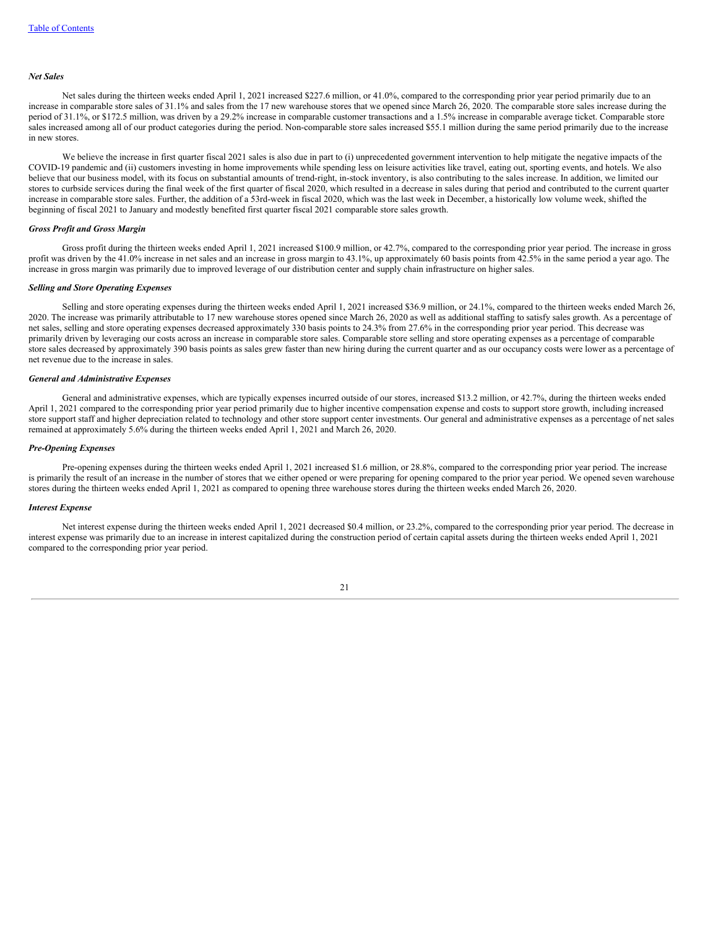#### *Net Sales*

Net sales during the thirteen weeks ended April 1, 2021 increased \$227.6 million, or 41.0%, compared to the corresponding prior year period primarily due to an increase in comparable store sales of 31.1% and sales from the 17 new warehouse stores that we opened since March 26, 2020. The comparable store sales increase during the period of 31.1%, or \$172.5 million, was driven by a 29.2% increase in comparable customer transactions and a 1.5% increase in comparable average ticket. Comparable store sales increased among all of our product categories during the period. Non-comparable store sales increased \$55.1 million during the same period primarily due to the increase in new stores.

We believe the increase in first quarter fiscal 2021 sales is also due in part to (i) unprecedented government intervention to help mitigate the negative impacts of the COVID-19 pandemic and (ii) customers investing in home improvements while spending less on leisure activities like travel, eating out, sporting events, and hotels. We also believe that our business model, with its focus on substantial amounts of trend-right, in-stock inventory, is also contributing to the sales increase. In addition, we limited our stores to curbside services during the final week of the first quarter of fiscal 2020, which resulted in a decrease in sales during that period and contributed to the current quarter increase in comparable store sales. Further, the addition of a 53rd-week in fiscal 2020, which was the last week in December, a historically low volume week, shifted the beginning of fiscal 2021 to January and modestly benefited first quarter fiscal 2021 comparable store sales growth.

#### *Gross Profit and Gross Margin*

Gross profit during the thirteen weeks ended April 1, 2021 increased \$100.9 million, or 42.7%, compared to the corresponding prior year period. The increase in gross profit was driven by the 41.0% increase in net sales and an increase in gross margin to 43.1%, up approximately 60 basis points from 42.5% in the same period a year ago. The increase in gross margin was primarily due to improved leverage of our distribution center and supply chain infrastructure on higher sales.

### *Selling and Store Operating Expenses*

Selling and store operating expenses during the thirteen weeks ended April 1, 2021 increased \$36.9 million, or 24.1%, compared to the thirteen weeks ended March 26, 2020. The increase was primarily attributable to 17 new warehouse stores opened since March 26, 2020 as well as additional staffing to satisfy sales growth. As a percentage of net sales, selling and store operating expenses decreased approximately 330 basis points to 24.3% from 27.6% in the corresponding prior year period. This decrease was primarily driven by leveraging our costs across an increase in comparable store sales. Comparable store selling and store operating expenses as a percentage of comparable store sales decreased by approximately 390 basis points as sales grew faster than new hiring during the current quarter and as our occupancy costs were lower as a percentage of net revenue due to the increase in sales.

# *General and Administrative Expenses*

General and administrative expenses, which are typically expenses incurred outside of our stores, increased \$13.2 million, or 42.7%, during the thirteen weeks ended April 1, 2021 compared to the corresponding prior year period primarily due to higher incentive compensation expense and costs to support store growth, including increased store support staff and higher depreciation related to technology and other store support center investments. Our general and administrative expenses as a percentage of net sales remained at approximately 5.6% during the thirteen weeks ended April 1, 2021 and March 26, 2020.

#### *Pre-Opening Expenses*

Pre-opening expenses during the thirteen weeks ended April 1, 2021 increased \$1.6 million, or 28.8%, compared to the corresponding prior year period. The increase is primarily the result of an increase in the number of stores that we either opened or were preparing for opening compared to the prior year period. We opened seven warehouse stores during the thirteen weeks ended April 1, 2021 as compared to opening three warehouse stores during the thirteen weeks ended March 26, 2020.

#### *Interest Expense*

Net interest expense during the thirteen weeks ended April 1, 2021 decreased \$0.4 million, or 23.2%, compared to the corresponding prior year period. The decrease in interest expense was primarily due to an increase in interest capitalized during the construction period of certain capital assets during the thirteen weeks ended April 1, 2021 compared to the corresponding prior year period.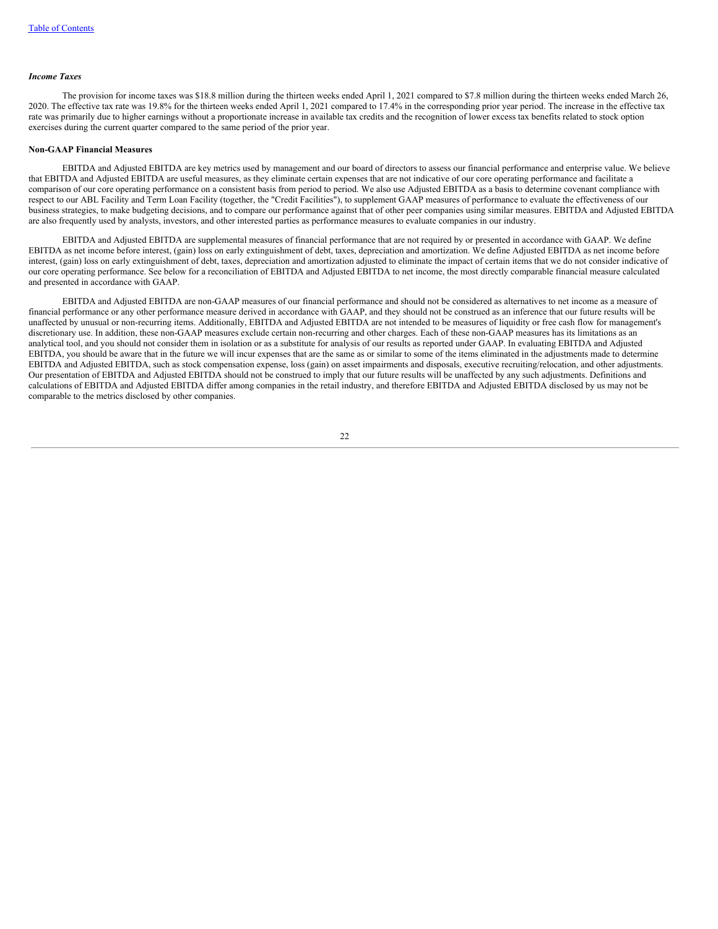# *Income Taxes*

The provision for income taxes was \$18.8 million during the thirteen weeks ended April 1, 2021 compared to \$7.8 million during the thirteen weeks ended March 26, 2020. The effective tax rate was 19.8% for the thirteen weeks ended April 1, 2021 compared to 17.4% in the corresponding prior year period. The increase in the effective tax rate was primarily due to higher earnings without a proportionate increase in available tax credits and the recognition of lower excess tax benefits related to stock option exercises during the current quarter compared to the same period of the prior year.

#### **Non-GAAP Financial Measures**

EBITDA and Adjusted EBITDA are key metrics used by management and our board of directors to assess our financial performance and enterprise value. We believe that EBITDA and Adjusted EBITDA are useful measures, as they eliminate certain expenses that are not indicative of our core operating performance and facilitate a comparison of our core operating performance on a consistent basis from period to period. We also use Adjusted EBITDA as a basis to determine covenant compliance with respect to our ABL Facility and Term Loan Facility (together, the "Credit Facilities"), to supplement GAAP measures of performance to evaluate the effectiveness of our business strategies, to make budgeting decisions, and to compare our performance against that of other peer companies using similar measures. EBITDA and Adjusted EBITDA are also frequently used by analysts, investors, and other interested parties as performance measures to evaluate companies in our industry.

EBITDA and Adjusted EBITDA are supplemental measures of financial performance that are not required by or presented in accordance with GAAP. We define EBITDA as net income before interest, (gain) loss on early extinguishment of debt, taxes, depreciation and amortization. We define Adjusted EBITDA as net income before interest, (gain) loss on early extinguishment of debt, taxes, depreciation and amortization adjusted to eliminate the impact of certain items that we do not consider indicative of our core operating performance. See below for a reconciliation of EBITDA and Adjusted EBITDA to net income, the most directly comparable financial measure calculated and presented in accordance with GAAP.

EBITDA and Adjusted EBITDA are non-GAAP measures of our financial performance and should not be considered as alternatives to net income as a measure of financial performance or any other performance measure derived in accordance with GAAP, and they should not be construed as an inference that our future results will be unaffected by unusual or non-recurring items. Additionally, EBITDA and Adjusted EBITDA are not intended to be measures of liquidity or free cash flow for management's discretionary use. In addition, these non-GAAP measures exclude certain non-recurring and other charges. Each of these non-GAAP measures has its limitations as an analytical tool, and you should not consider them in isolation or as a substitute for analysis of our results as reported under GAAP. In evaluating EBITDA and Adjusted EBITDA, you should be aware that in the future we will incur expenses that are the same as or similar to some of the items eliminated in the adjustments made to determine EBITDA and Adjusted EBITDA, such as stock compensation expense, loss (gain) on asset impairments and disposals, executive recruiting/relocation, and other adjustments. Our presentation of EBITDA and Adjusted EBITDA should not be construed to imply that our future results will be unaffected by any such adjustments. Definitions and calculations of EBITDA and Adjusted EBITDA differ among companies in the retail industry, and therefore EBITDA and Adjusted EBITDA disclosed by us may not be comparable to the metrics disclosed by other companies.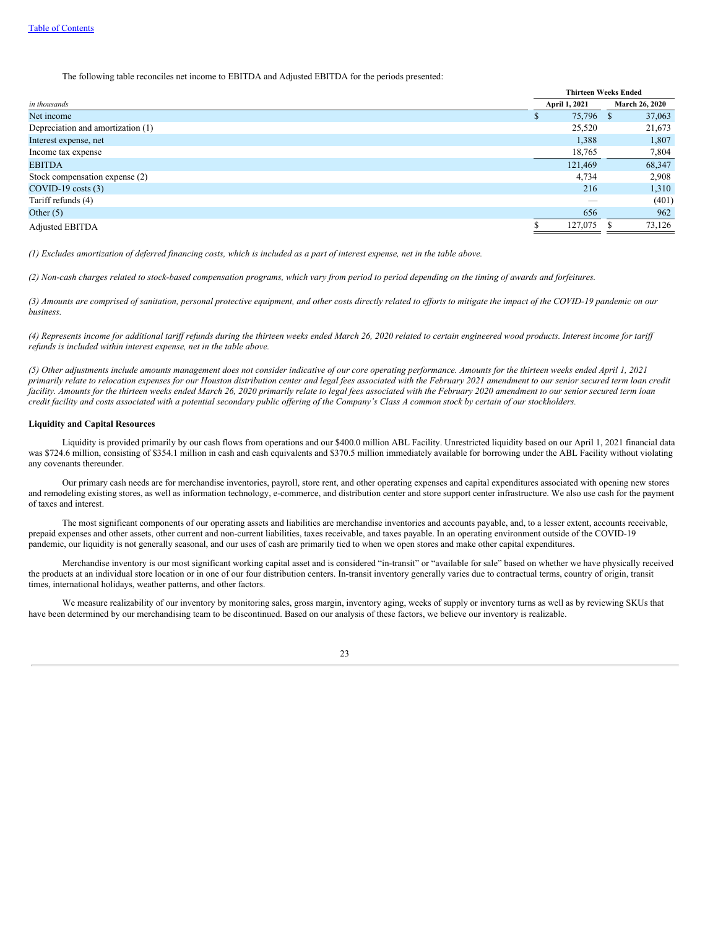The following table reconciles net income to EBITDA and Adjusted EBITDA for the periods presented:

| <b>Thirteen Weeks Ended</b> |                                                                                          |  |  |
|-----------------------------|------------------------------------------------------------------------------------------|--|--|
| April 1, 2021               | <b>March 26, 2020</b>                                                                    |  |  |
| Ъ.                          | 37,063                                                                                   |  |  |
|                             | 21,673                                                                                   |  |  |
|                             | 1,807                                                                                    |  |  |
|                             | 7,804                                                                                    |  |  |
|                             | 68,347                                                                                   |  |  |
|                             | 2,908                                                                                    |  |  |
|                             | 1,310                                                                                    |  |  |
|                             | (401)                                                                                    |  |  |
|                             | 962                                                                                      |  |  |
|                             | 73,126                                                                                   |  |  |
|                             | 75,796 \$<br>25,520<br>1,388<br>18,765<br>121,469<br>4,734<br>216<br>_<br>656<br>127,075 |  |  |

(1) Excludes amortization of deferred financing costs, which is included as a part of interest expense, net in the table above.

(2) Non-cash charges related to stock-based compensation programs, which vary from period to period depending on the timing of awards and forfeitures.

(3) Amounts are comprised of sanitation, personal protective equipment, and other costs directly related to efforts to mitigate the impact of the COVID-19 pandemic on our *business.*

(4) Represents income for additional tariff refunds during the thirteen weeks ended March 26, 2020 related to certain engineered wood products. Interest income for tariff *refunds is included within interest expense, net in the table above.*

(5) Other adjustments include amounts management does not consider indicative of our core operating performance. Amounts for the thirteen weeks ended April 1, 2021 primarily relate to relocation expenses for our Houston distribution center and legal fees associated with the February 2021 amendment to our senior secured term loan credit facility. Amounts for the thirteen weeks ended March 26, 2020 primarily relate to legal fees associated with the February 2020 amendment to our senior secured term loan credit facility and costs associated with a potential secondary public offering of the Company's Class A common stock by certain of our stockholders.

# **Liquidity and Capital Resources**

Liquidity is provided primarily by our cash flows from operations and our \$400.0 million ABL Facility. Unrestricted liquidity based on our April 1, 2021 financial data was \$724.6 million, consisting of \$354.1 million in cash and cash equivalents and \$370.5 million immediately available for borrowing under the ABL Facility without violating any covenants thereunder.

Our primary cash needs are for merchandise inventories, payroll, store rent, and other operating expenses and capital expenditures associated with opening new stores and remodeling existing stores, as well as information technology, e-commerce, and distribution center and store support center infrastructure. We also use cash for the payment of taxes and interest.

The most significant components of our operating assets and liabilities are merchandise inventories and accounts payable, and, to a lesser extent, accounts receivable, prepaid expenses and other assets, other current and non-current liabilities, taxes receivable, and taxes payable. In an operating environment outside of the COVID-19 pandemic, our liquidity is not generally seasonal, and our uses of cash are primarily tied to when we open stores and make other capital expenditures.

Merchandise inventory is our most significant working capital asset and is considered "in-transit" or "available for sale" based on whether we have physically received the products at an individual store location or in one of our four distribution centers. In-transit inventory generally varies due to contractual terms, country of origin, transit times, international holidays, weather patterns, and other factors.

We measure realizability of our inventory by monitoring sales, gross margin, inventory aging, weeks of supply or inventory turns as well as by reviewing SKUs that have been determined by our merchandising team to be discontinued. Based on our analysis of these factors, we believe our inventory is realizable.

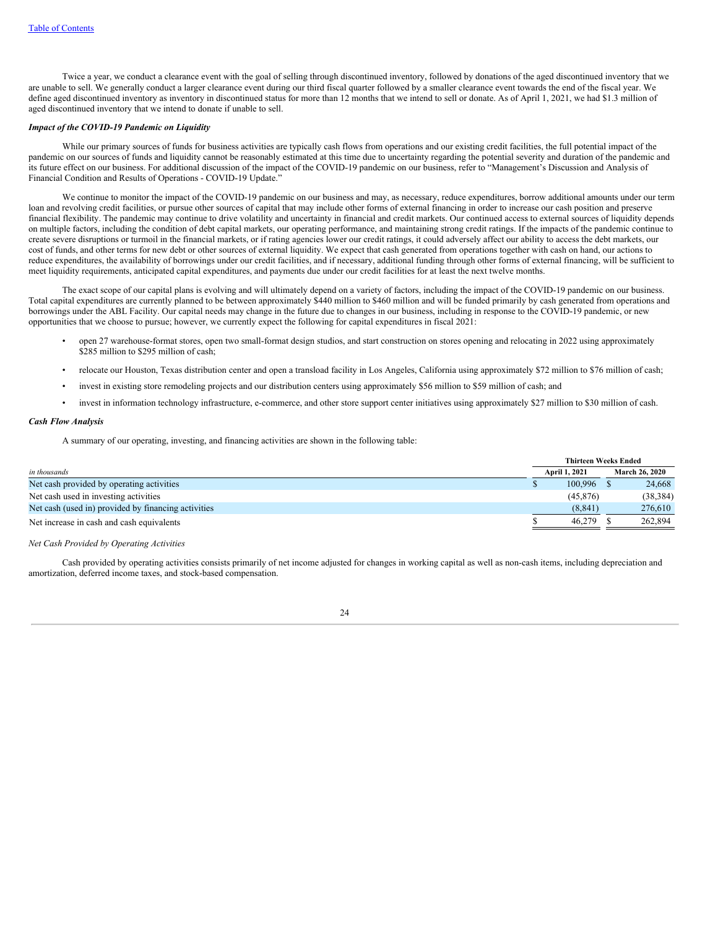Twice a year, we conduct a clearance event with the goal of selling through discontinued inventory, followed by donations of the aged discontinued inventory that we are unable to sell. We generally conduct a larger clearance event during our third fiscal quarter followed by a smaller clearance event towards the end of the fiscal year. We define aged discontinued inventory as inventory in discontinued status for more than 12 months that we intend to sell or donate. As of April 1, 2021, we had \$1.3 million of aged discontinued inventory that we intend to donate if unable to sell.

# *Impact of the COVID-19 Pandemic on Liquidity*

While our primary sources of funds for business activities are typically cash flows from operations and our existing credit facilities, the full potential impact of the pandemic on our sources of funds and liquidity cannot be reasonably estimated at this time due to uncertainty regarding the potential severity and duration of the pandemic and its future effect on our business. For additional discussion of the impact of the COVID-19 pandemic on our business, refer to "Management's Discussion and Analysis of Financial Condition and Results of Operations - COVID-19 Update."

We continue to monitor the impact of the COVID-19 pandemic on our business and may, as necessary, reduce expenditures, borrow additional amounts under our term loan and revolving credit facilities, or pursue other sources of capital that may include other forms of external financing in order to increase our cash position and preserve financial flexibility. The pandemic may continue to drive volatility and uncertainty in financial and credit markets. Our continued access to external sources of liquidity depends on multiple factors, including the condition of debt capital markets, our operating performance, and maintaining strong credit ratings. If the impacts of the pandemic continue to create severe disruptions or turmoil in the financial markets, or if rating agencies lower our credit ratings, it could adversely affect our ability to access the debt markets, our cost of funds, and other terms for new debt or other sources of external liquidity. We expect that cash generated from operations together with cash on hand, our actions to reduce expenditures, the availability of borrowings under our credit facilities, and if necessary, additional funding through other forms of external financing, will be sufficient to meet liquidity requirements, anticipated capital expenditures, and payments due under our credit facilities for at least the next twelve months.

The exact scope of our capital plans is evolving and will ultimately depend on a variety of factors, including the impact of the COVID-19 pandemic on our business. Total capital expenditures are currently planned to be between approximately \$440 million to \$460 million and will be funded primarily by cash generated from operations and borrowings under the ABL Facility. Our capital needs may change in the future due to changes in our business, including in response to the COVID-19 pandemic, or new opportunities that we choose to pursue; however, we currently expect the following for capital expenditures in fiscal 2021:

- open 27 warehouse-format stores, open two small-format design studios, and start construction on stores opening and relocating in 2022 using approximately \$285 million to \$295 million of cash:
- relocate our Houston, Texas distribution center and open a transload facility in Los Angeles, California using approximately \$72 million to \$76 million of cash;
- invest in existing store remodeling projects and our distribution centers using approximately \$56 million to \$59 million of cash; and
- invest in information technology infrastructure, e-commerce, and other store support center initiatives using approximately \$27 million to \$30 million of cash.

### *Cash Flow Analysis*

A summary of our operating, investing, and financing activities are shown in the following table:

|                                                     | <b>Thirteen Weeks Ended</b> |           |                |           |
|-----------------------------------------------------|-----------------------------|-----------|----------------|-----------|
| in thousands                                        | <b>April 1, 2021</b>        |           | March 26, 2020 |           |
| Net cash provided by operating activities           |                             | 100.996   |                | 24,668    |
| Net cash used in investing activities               |                             | (45, 876) |                | (38, 384) |
| Net cash (used in) provided by financing activities |                             | (8.841)   |                | 276.610   |
| Net increase in cash and cash equivalents           |                             | 46.279    |                | 262,894   |

#### *Net Cash Provided by Operating Activities*

Cash provided by operating activities consists primarily of net income adjusted for changes in working capital as well as non-cash items, including depreciation and amortization, deferred income taxes, and stock-based compensation.

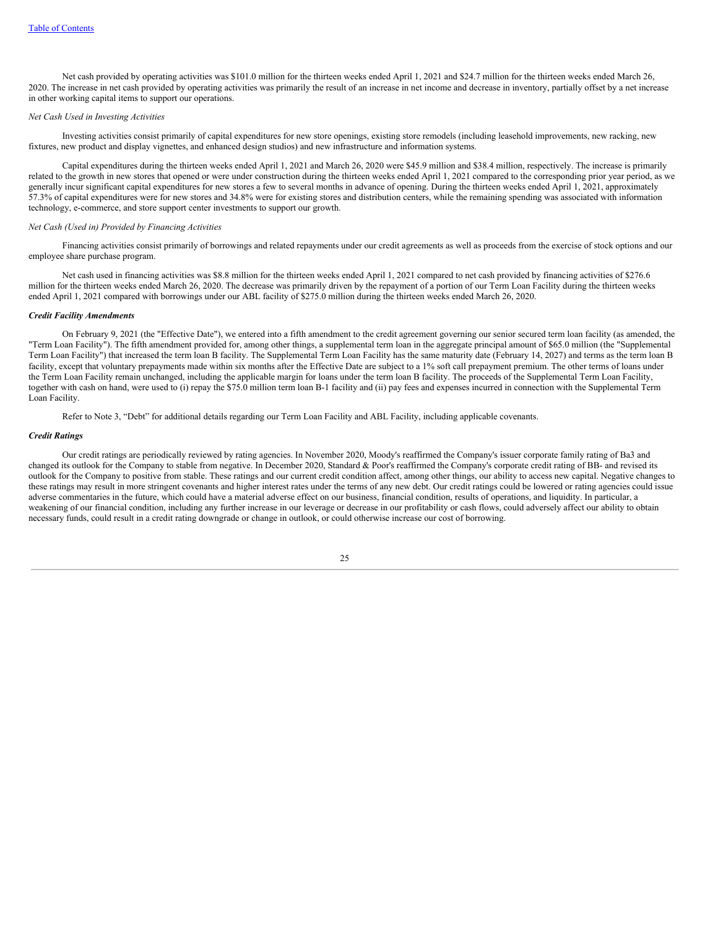Net cash provided by operating activities was \$101.0 million for the thirteen weeks ended April 1, 2021 and \$24.7 million for the thirteen weeks ended March 26, 2020. The increase in net cash provided by operating activities was primarily the result of an increase in net income and decrease in inventory, partially offset by a net increase in other working capital items to support our operations.

#### *Net Cash Used in Investing Activities*

Investing activities consist primarily of capital expenditures for new store openings, existing store remodels (including leasehold improvements, new racking, new fixtures, new product and display vignettes, and enhanced design studios) and new infrastructure and information systems.

Capital expenditures during the thirteen weeks ended April 1, 2021 and March 26, 2020 were \$45.9 million and \$38.4 million, respectively. The increase is primarily related to the growth in new stores that opened or were under construction during the thirteen weeks ended April 1, 2021 compared to the corresponding prior year period, as we generally incur significant capital expenditures for new stores a few to several months in advance of opening. During the thirteen weeks ended April 1, 2021, approximately 57.3% of capital expenditures were for new stores and 34.8% were for existing stores and distribution centers, while the remaining spending was associated with information technology, e-commerce, and store support center investments to support our growth.

### *Net Cash (Used in) Provided by Financing Activities*

Financing activities consist primarily of borrowings and related repayments under our credit agreements as well as proceeds from the exercise of stock options and our employee share purchase program.

Net cash used in financing activities was \$8.8 million for the thirteen weeks ended April 1, 2021 compared to net cash provided by financing activities of \$276.6 million for the thirteen weeks ended March 26, 2020. The decrease was primarily driven by the repayment of a portion of our Term Loan Facility during the thirteen weeks ended April 1, 2021 compared with borrowings under our ABL facility of \$275.0 million during the thirteen weeks ended March 26, 2020.

# *Credit Facility Amendments*

On February 9, 2021 (the "Effective Date"), we entered into a fifth amendment to the credit agreement governing our senior secured term loan facility (as amended, the "Term Loan Facility"). The fifth amendment provided for, among other things, a supplemental term loan in the aggregate principal amount of \$65.0 million (the "Supplemental Term Loan Facility") that increased the term loan B facility. The Supplemental Term Loan Facility has the same maturity date (February 14, 2027) and terms as the term loan B facility, except that voluntary prepayments made within six months after the Effective Date are subject to a 1% soft call prepayment premium. The other terms of loans under the Term Loan Facility remain unchanged, including the applicable margin for loans under the term loan B facility. The proceeds of the Supplemental Term Loan Facility, together with cash on hand, were used to (i) repay the \$75.0 million term loan B-1 facility and (ii) pay fees and expenses incurred in connection with the Supplemental Term Loan Facility.

Refer to Note 3, "Debt" for additional details regarding our Term Loan Facility and ABL Facility, including applicable covenants.

#### *Credit Ratings*

Our credit ratings are periodically reviewed by rating agencies. In November 2020, Moody's reaffirmed the Company's issuer corporate family rating of Ba3 and changed its outlook for the Company to stable from negative. In December 2020, Standard & Poor's reaffirmed the Company's corporate credit rating of BB- and revised its outlook for the Company to positive from stable. These ratings and our current credit condition affect, among other things, our ability to access new capital. Negative changes to these ratings may result in more stringent covenants and higher interest rates under the terms of any new debt. Our credit ratings could be lowered or rating agencies could issue adverse commentaries in the future, which could have a material adverse effect on our business, financial condition, results of operations, and liquidity. In particular, a weakening of our financial condition, including any further increase in our leverage or decrease in our profitability or cash flows, could adversely affect our ability to obtain necessary funds, could result in a credit rating downgrade or change in outlook, or could otherwise increase our cost of borrowing.

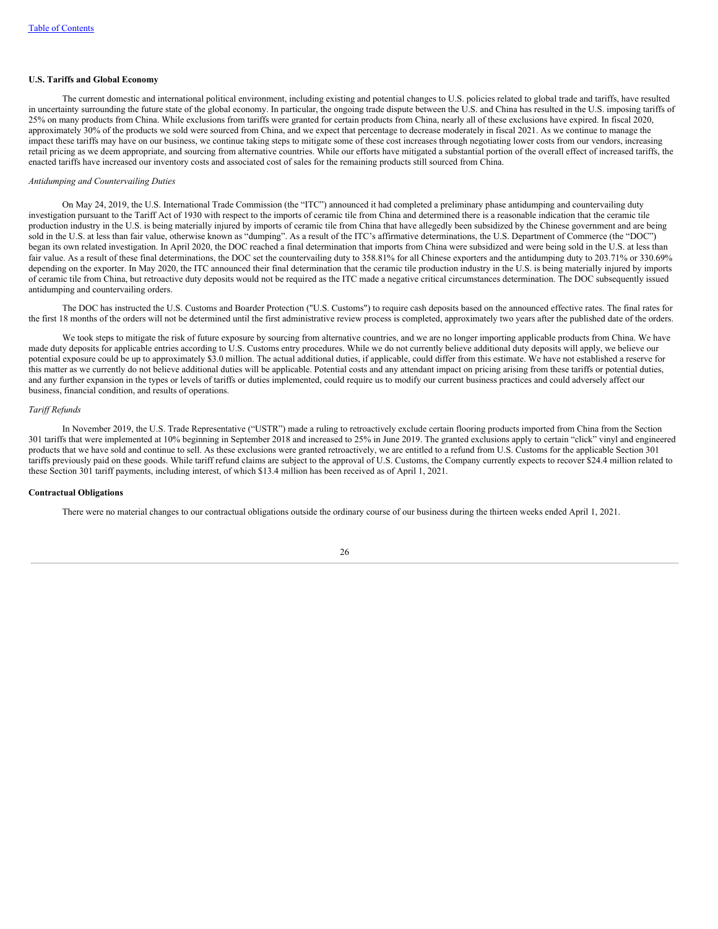#### **U.S. Tariffs and Global Economy**

The current domestic and international political environment, including existing and potential changes to U.S. policies related to global trade and tariffs, have resulted in uncertainty surrounding the future state of the global economy. In particular, the ongoing trade dispute between the U.S. and China has resulted in the U.S. imposing tariffs of 25% on many products from China. While exclusions from tariffs were granted for certain products from China, nearly all of these exclusions have expired. In fiscal 2020, approximately 30% of the products we sold were sourced from China, and we expect that percentage to decrease moderately in fiscal 2021. As we continue to manage the impact these tariffs may have on our business, we continue taking steps to mitigate some of these cost increases through negotiating lower costs from our vendors, increasing retail pricing as we deem appropriate, and sourcing from alternative countries. While our efforts have mitigated a substantial portion of the overall effect of increased tariffs, the enacted tariffs have increased our inventory costs and associated cost of sales for the remaining products still sourced from China.

# *Antidumping and Countervailing Duties*

On May 24, 2019, the U.S. International Trade Commission (the "ITC") announced it had completed a preliminary phase antidumping and countervailing duty investigation pursuant to the Tariff Act of 1930 with respect to the imports of ceramic tile from China and determined there is a reasonable indication that the ceramic tile production industry in the U.S. is being materially injured by imports of ceramic tile from China that have allegedly been subsidized by the Chinese government and are being sold in the U.S. at less than fair value, otherwise known as "dumping". As a result of the ITC's affirmative determinations, the U.S. Department of Commerce (the "DOC") began its own related investigation. In April 2020, the DOC reached a final determination that imports from China were subsidized and were being sold in the U.S. at less than fair value. As a result of these final determinations, the DOC set the countervailing duty to 358.81% for all Chinese exporters and the antidumping duty to 203.71% or 330.69% depending on the exporter. In May 2020, the ITC announced their final determination that the ceramic tile production industry in the U.S. is being materially injured by imports of ceramic tile from China, but retroactive duty deposits would not be required as the ITC made a negative critical circumstances determination. The DOC subsequently issued antidumping and countervailing orders.

The DOC has instructed the U.S. Customs and Boarder Protection ("U.S. Customs") to require cash deposits based on the announced effective rates. The final rates for the first 18 months of the orders will not be determined until the first administrative review process is completed, approximately two years after the published date of the orders.

We took steps to mitigate the risk of future exposure by sourcing from alternative countries, and we are no longer importing applicable products from China. We have made duty deposits for applicable entries according to U.S. Customs entry procedures. While we do not currently believe additional duty deposits will apply, we believe our potential exposure could be up to approximately \$3.0 million. The actual additional duties, if applicable, could differ from this estimate. We have not established a reserve for this matter as we currently do not believe additional duties will be applicable. Potential costs and any attendant impact on pricing arising from these tariffs or potential duties, and any further expansion in the types or levels of tariffs or duties implemented, could require us to modify our current business practices and could adversely affect our business, financial condition, and results of operations.

#### *Tarif Refunds*

In November 2019, the U.S. Trade Representative ("USTR") made a ruling to retroactively exclude certain flooring products imported from China from the Section 301 tariffs that were implemented at 10% beginning in September 2018 and increased to 25% in June 2019. The granted exclusions apply to certain "click" vinyl and engineered products that we have sold and continue to sell. As these exclusions were granted retroactively, we are entitled to a refund from U.S. Customs for the applicable Section 301 tariffs previously paid on these goods. While tariff refund claims are subject to the approval of U.S. Customs, the Company currently expects to recover \$24.4 million related to these Section 301 tariff payments, including interest, of which \$13.4 million has been received as of April 1, 2021.

## **Contractual Obligations**

There were no material changes to our contractual obligations outside the ordinary course of our business during the thirteen weeks ended April 1, 2021.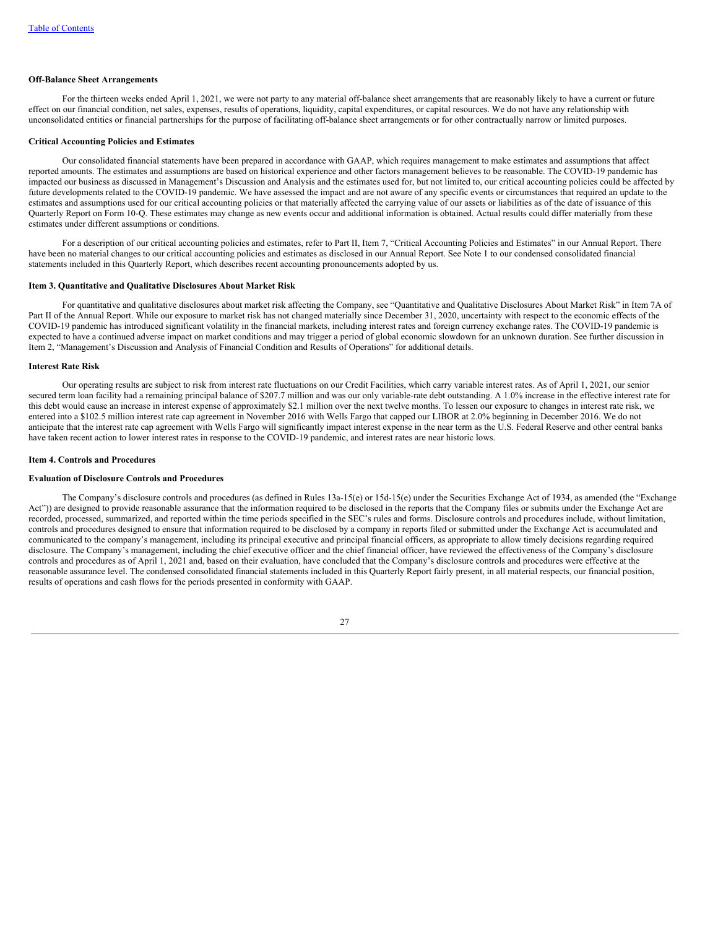#### **Off-Balance Sheet Arrangements**

For the thirteen weeks ended April 1, 2021, we were not party to any material off-balance sheet arrangements that are reasonably likely to have a current or future effect on our financial condition, net sales, expenses, results of operations, liquidity, capital expenditures, or capital resources. We do not have any relationship with unconsolidated entities or financial partnerships for the purpose of facilitating off-balance sheet arrangements or for other contractually narrow or limited purposes.

### **Critical Accounting Policies and Estimates**

Our consolidated financial statements have been prepared in accordance with GAAP, which requires management to make estimates and assumptions that affect reported amounts. The estimates and assumptions are based on historical experience and other factors management believes to be reasonable. The COVID-19 pandemic has impacted our business as discussed in Management's Discussion and Analysis and the estimates used for, but not limited to, our critical accounting policies could be affected by future developments related to the COVID-19 pandemic. We have assessed the impact and are not aware of any specific events or circumstances that required an update to the estimates and assumptions used for our critical accounting policies or that materially affected the carrying value of our assets or liabilities as of the date of issuance of this Quarterly Report on Form 10-Q. These estimates may change as new events occur and additional information is obtained. Actual results could differ materially from these estimates under different assumptions or conditions.

For a description of our critical accounting policies and estimates, refer to Part II, Item 7, "Critical Accounting Policies and Estimates" in our Annual Report. There have been no material changes to our critical accounting policies and estimates as disclosed in our Annual Report. See Note 1 to our condensed consolidated financial statements included in this Quarterly Report, which describes recent accounting pronouncements adopted by us.

### <span id="page-26-0"></span>**Item 3. Quantitative and Qualitative Disclosures About Market Risk**

For quantitative and qualitative disclosures about market risk affecting the Company, see "Quantitative and Qualitative Disclosures About Market Risk" in Item 7A of Part II of the Annual Report. While our exposure to market risk has not changed materially since December 31, 2020, uncertainty with respect to the economic effects of the COVID-19 pandemic has introduced significant volatility in the financial markets, including interest rates and foreign currency exchange rates. The COVID-19 pandemic is expected to have a continued adverse impact on market conditions and may trigger a period of global economic slowdown for an unknown duration. See further discussion in Item 2, "Management's Discussion and Analysis of Financial Condition and Results of Operations" for additional details.

#### **Interest Rate Risk**

Our operating results are subject to risk from interest rate fluctuations on our Credit Facilities, which carry variable interest rates. As of April 1, 2021, our senior secured term loan facility had a remaining principal balance of \$207.7 million and was our only variable-rate debt outstanding. A 1.0% increase in the effective interest rate for this debt would cause an increase in interest expense of approximately \$2.1 million over the next twelve months. To lessen our exposure to changes in interest rate risk, we entered into a \$102.5 million interest rate cap agreement in November 2016 with Wells Fargo that capped our LIBOR at 2.0% beginning in December 2016. We do not anticipate that the interest rate cap agreement with Wells Fargo will significantly impact interest expense in the near term as the U.S. Federal Reserve and other central banks have taken recent action to lower interest rates in response to the COVID-19 pandemic, and interest rates are near historic lows.

#### <span id="page-26-1"></span>**Item 4. Controls and Procedures**

#### **Evaluation of Disclosure Controls and Procedures**

The Company's disclosure controls and procedures (as defined in Rules 13a-15(e) or 15d-15(e) under the Securities Exchange Act of 1934, as amended (the "Exchange Act")) are designed to provide reasonable assurance that the information required to be disclosed in the reports that the Company files or submits under the Exchange Act are recorded, processed, summarized, and reported within the time periods specified in the SEC's rules and forms. Disclosure controls and procedures include, without limitation, controls and procedures designed to ensure that information required to be disclosed by a company in reports filed or submitted under the Exchange Act is accumulated and communicated to the company's management, including its principal executive and principal financial officers, as appropriate to allow timely decisions regarding required disclosure. The Company's management, including the chief executive officer and the chief financial officer, have reviewed the effectiveness of the Company's disclosure controls and procedures as of April 1, 2021 and, based on their evaluation, have concluded that the Company's disclosure controls and procedures were effective at the reasonable assurance level. The condensed consolidated financial statements included in this Quarterly Report fairly present, in all material respects, our financial position, results of operations and cash flows for the periods presented in conformity with GAAP.

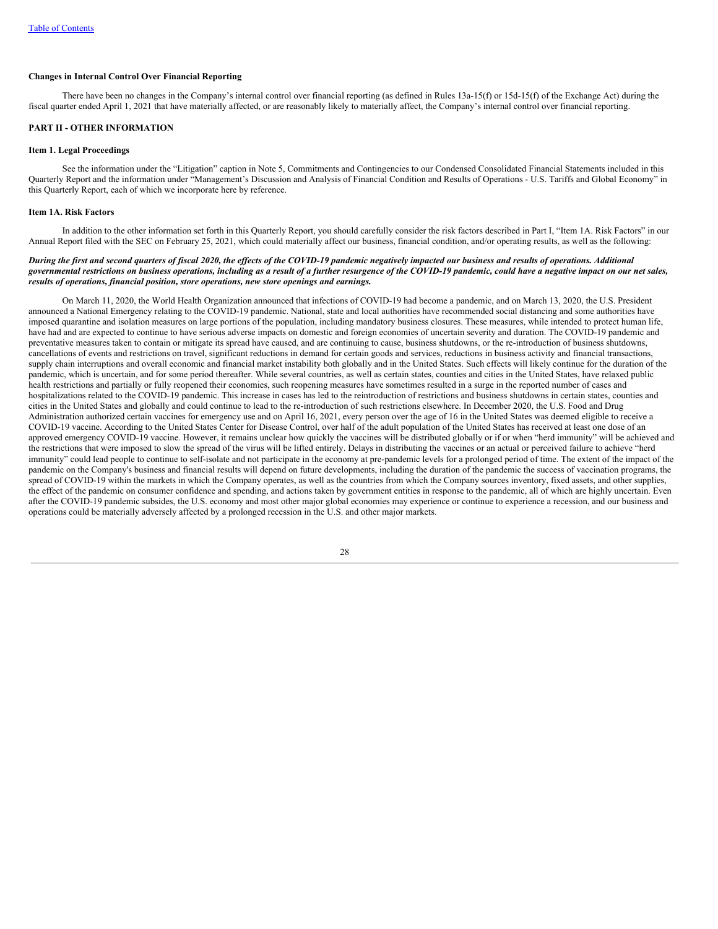### **Changes in Internal Control Over Financial Reporting**

There have been no changes in the Company's internal control over financial reporting (as defined in Rules 13a-15(f) or 15d-15(f) of the Exchange Act) during the fiscal quarter ended April 1, 2021 that have materially affected, or are reasonably likely to materially affect, the Company's internal control over financial reporting.

# <span id="page-27-1"></span><span id="page-27-0"></span>**PART II - OTHER INFORMATION**

#### **Item 1. Legal Proceedings**

See the information under the "Litigation" caption in Note 5, Commitments and Contingencies to our Condensed Consolidated Financial Statements included in this Quarterly Report and the information under "Management's Discussion and Analysis of Financial Condition and Results of Operations - U.S. Tariffs and Global Economy" in this Quarterly Report, each of which we incorporate here by reference.

# <span id="page-27-2"></span>**Item 1A. Risk Factors**

In addition to the other information set forth in this Quarterly Report, you should carefully consider the risk factors described in Part I, "Item 1A. Risk Factors" in our Annual Report filed with the SEC on February 25, 2021, which could materially affect our business, financial condition, and/or operating results, as well as the following:

#### During the first and second quarters of fiscal 2020, the effects of the COVID-19 pandemic negatively impacted our business and results of operations. Additional governmental restrictions on business operations, including as a result of a further resurgence of the COVID-19 pandemic, could have a negative impact on our net sales, *results of operations, financial position, store operations, new store openings and earnings.*

On March 11, 2020, the World Health Organization announced that infections of COVID-19 had become a pandemic, and on March 13, 2020, the U.S. President announced a National Emergency relating to the COVID-19 pandemic. National, state and local authorities have recommended social distancing and some authorities have imposed quarantine and isolation measures on large portions of the population, including mandatory business closures. These measures, while intended to protect human life, have had and are expected to continue to have serious adverse impacts on domestic and foreign economies of uncertain severity and duration. The COVID-19 pandemic and preventative measures taken to contain or mitigate its spread have caused, and are continuing to cause, business shutdowns, or the re-introduction of business shutdowns, cancellations of events and restrictions on travel, significant reductions in demand for certain goods and services, reductions in business activity and financial transactions, supply chain interruptions and overall economic and financial market instability both globally and in the United States. Such effects will likely continue for the duration of the pandemic, which is uncertain, and for some period thereafter. While several countries, as well as certain states, counties and cities in the United States, have relaxed public health restrictions and partially or fully reopened their economies, such reopening measures have sometimes resulted in a surge in the reported number of cases and hospitalizations related to the COVID-19 pandemic. This increase in cases has led to the reintroduction of restrictions and business shutdowns in certain states, counties and cities in the United States and globally and could continue to lead to the re-introduction of such restrictions elsewhere. In December 2020, the U.S. Food and Drug Administration authorized certain vaccines for emergency use and on April 16, 2021, every person over the age of 16 in the United States was deemed eligible to receive a COVID-19 vaccine. According to the United States Center for Disease Control, over half of the adult population of the United States has received at least one dose of an approved emergency COVID-19 vaccine. However, it remains unclear how quickly the vaccines will be distributed globally or if or when "herd immunity" will be achieved and the restrictions that were imposed to slow the spread of the virus will be lifted entirely. Delays in distributing the vaccines or an actual or perceived failure to achieve "herd immunity" could lead people to continue to self-isolate and not participate in the economy at pre-pandemic levels for a prolonged period of time. The extent of the impact of the pandemic on the Company's business and financial results will depend on future developments, including the duration of the pandemic the success of vaccination programs, the spread of COVID-19 within the markets in which the Company operates, as well as the countries from which the Company sources inventory, fixed assets, and other supplies, the effect of the pandemic on consumer confidence and spending, and actions taken by government entities in response to the pandemic, all of which are highly uncertain. Even after the COVID-19 pandemic subsides, the U.S. economy and most other major global economies may experience or continue to experience a recession, and our business and operations could be materially adversely affected by a prolonged recession in the U.S. and other major markets.

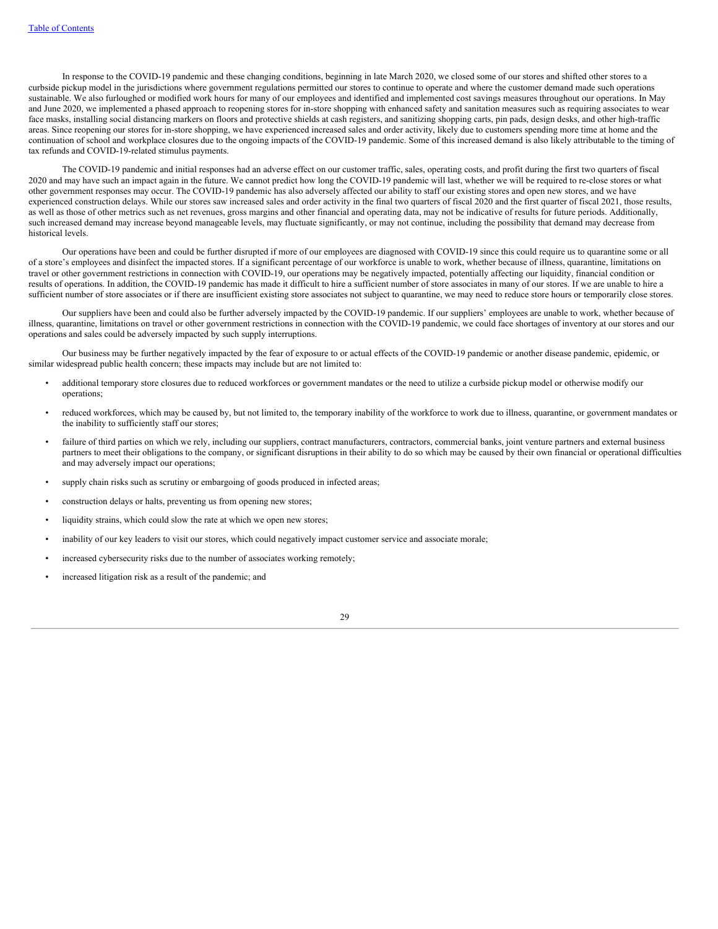In response to the COVID-19 pandemic and these changing conditions, beginning in late March 2020, we closed some of our stores and shifted other stores to a curbside pickup model in the jurisdictions where government regulations permitted our stores to continue to operate and where the customer demand made such operations sustainable. We also furloughed or modified work hours for many of our employees and identified and implemented cost savings measures throughout our operations. In May and June 2020, we implemented a phased approach to reopening stores for in-store shopping with enhanced safety and sanitation measures such as requiring associates to wear face masks, installing social distancing markers on floors and protective shields at cash registers, and sanitizing shopping carts, pin pads, design desks, and other high-traffic areas. Since reopening our stores for in-store shopping, we have experienced increased sales and order activity, likely due to customers spending more time at home and the continuation of school and workplace closures due to the ongoing impacts of the COVID-19 pandemic. Some of this increased demand is also likely attributable to the timing of tax refunds and COVID-19-related stimulus payments.

The COVID-19 pandemic and initial responses had an adverse effect on our customer traffic, sales, operating costs, and profit during the first two quarters of fiscal 2020 and may have such an impact again in the future. We cannot predict how long the COVID-19 pandemic will last, whether we will be required to re-close stores or what other government responses may occur. The COVID-19 pandemic has also adversely affected our ability to staff our existing stores and open new stores, and we have experienced construction delays. While our stores saw increased sales and order activity in the final two quarters of fiscal 2020 and the first quarter of fiscal 2021, those results, as well as those of other metrics such as net revenues, gross margins and other financial and operating data, may not be indicative of results for future periods. Additionally, such increased demand may increase beyond manageable levels, may fluctuate significantly, or may not continue, including the possibility that demand may decrease from historical levels.

Our operations have been and could be further disrupted if more of our employees are diagnosed with COVID-19 since this could require us to quarantine some or all of a store's employees and disinfect the impacted stores. If a significant percentage of our workforce is unable to work, whether because of illness, quarantine, limitations on travel or other government restrictions in connection with COVID-19, our operations may be negatively impacted, potentially affecting our liquidity, financial condition or results of operations. In addition, the COVID-19 pandemic has made it difficult to hire a sufficient number of store associates in many of our stores. If we are unable to hire a sufficient number of store associates or if there are insufficient existing store associates not subject to quarantine, we may need to reduce store hours or temporarily close stores.

Our suppliers have been and could also be further adversely impacted by the COVID-19 pandemic. If our suppliers' employees are unable to work, whether because of illness, quarantine, limitations on travel or other government restrictions in connection with the COVID-19 pandemic, we could face shortages of inventory at our stores and our operations and sales could be adversely impacted by such supply interruptions.

Our business may be further negatively impacted by the fear of exposure to or actual effects of the COVID-19 pandemic or another disease pandemic, epidemic, or similar widespread public health concern; these impacts may include but are not limited to:

- additional temporary store closures due to reduced workforces or government mandates or the need to utilize a curbside pickup model or otherwise modify our operations;
- reduced workforces, which may be caused by, but not limited to, the temporary inability of the workforce to work due to illness, quarantine, or government mandates or the inability to sufficiently staff our stores;
- failure of third parties on which we rely, including our suppliers, contract manufacturers, contractors, commercial banks, joint venture partners and external business partners to meet their obligations to the company, or significant disruptions in their ability to do so which may be caused by their own financial or operational difficulties and may adversely impact our operations;
- supply chain risks such as scrutiny or embargoing of goods produced in infected areas;
- construction delays or halts, preventing us from opening new stores;
- liquidity strains, which could slow the rate at which we open new stores;
- inability of our key leaders to visit our stores, which could negatively impact customer service and associate morale;
- increased cybersecurity risks due to the number of associates working remotely;
- increased litigation risk as a result of the pandemic; and

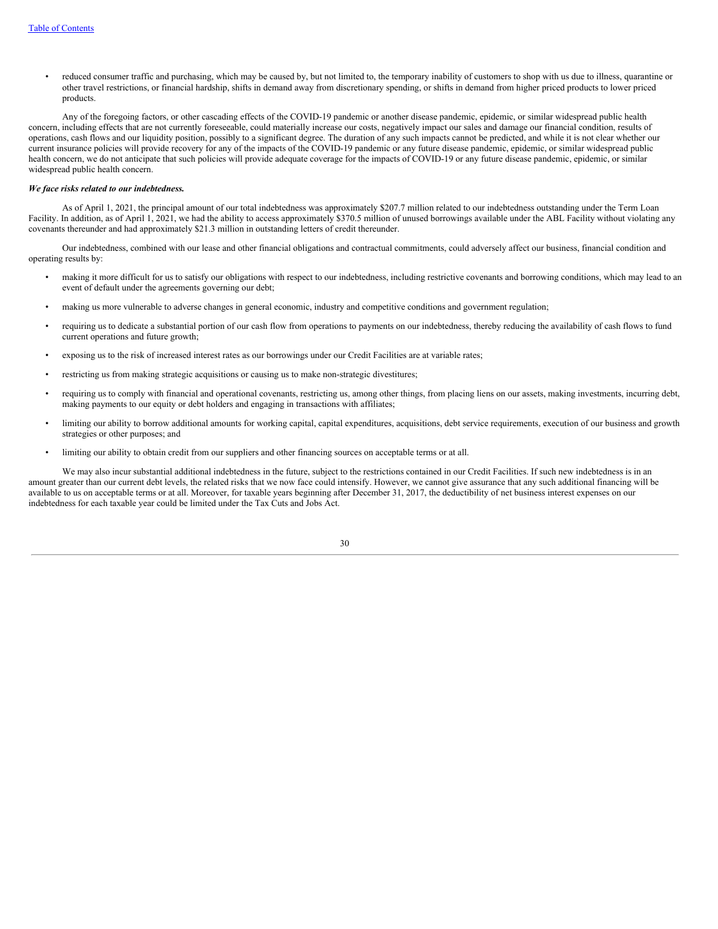• reduced consumer traffic and purchasing, which may be caused by, but not limited to, the temporary inability of customers to shop with us due to illness, quarantine or other travel restrictions, or financial hardship, shifts in demand away from discretionary spending, or shifts in demand from higher priced products to lower priced products.

Any of the foregoing factors, or other cascading effects of the COVID-19 pandemic or another disease pandemic, epidemic, or similar widespread public health concern, including effects that are not currently foreseeable, could materially increase our costs, negatively impact our sales and damage our financial condition, results of operations, cash flows and our liquidity position, possibly to a significant degree. The duration of any such impacts cannot be predicted, and while it is not clear whether our current insurance policies will provide recovery for any of the impacts of the COVID-19 pandemic or any future disease pandemic, epidemic, or similar widespread public health concern, we do not anticipate that such policies will provide adequate coverage for the impacts of COVID-19 or any future disease pandemic, epidemic, or similar widespread public health concern.

# *We face risks related to our indebtedness.*

As of April 1, 2021, the principal amount of our total indebtedness was approximately \$207.7 million related to our indebtedness outstanding under the Term Loan Facility. In addition, as of April 1, 2021, we had the ability to access approximately \$370.5 million of unused borrowings available under the ABL Facility without violating any covenants thereunder and had approximately \$21.3 million in outstanding letters of credit thereunder.

Our indebtedness, combined with our lease and other financial obligations and contractual commitments, could adversely affect our business, financial condition and operating results by:

- making it more difficult for us to satisfy our obligations with respect to our indebtedness, including restrictive covenants and borrowing conditions, which may lead to an event of default under the agreements governing our debt;
- making us more vulnerable to adverse changes in general economic, industry and competitive conditions and government regulation;
- requiring us to dedicate a substantial portion of our cash flow from operations to payments on our indebtedness, thereby reducing the availability of cash flows to fund current operations and future growth;
- exposing us to the risk of increased interest rates as our borrowings under our Credit Facilities are at variable rates;
- restricting us from making strategic acquisitions or causing us to make non-strategic divestitures;
- requiring us to comply with financial and operational covenants, restricting us, among other things, from placing liens on our assets, making investments, incurring debt, making payments to our equity or debt holders and engaging in transactions with affiliates;
- limiting our ability to borrow additional amounts for working capital, capital expenditures, acquisitions, debt service requirements, execution of our business and growth strategies or other purposes; and
- limiting our ability to obtain credit from our suppliers and other financing sources on acceptable terms or at all.

We may also incur substantial additional indebtedness in the future, subject to the restrictions contained in our Credit Facilities. If such new indebtedness is in an amount greater than our current debt levels, the related risks that we now face could intensify. However, we cannot give assurance that any such additional financing will be available to us on acceptable terms or at all. Moreover, for taxable years beginning after December 31, 2017, the deductibility of net business interest expenses on our indebtedness for each taxable year could be limited under the Tax Cuts and Jobs Act.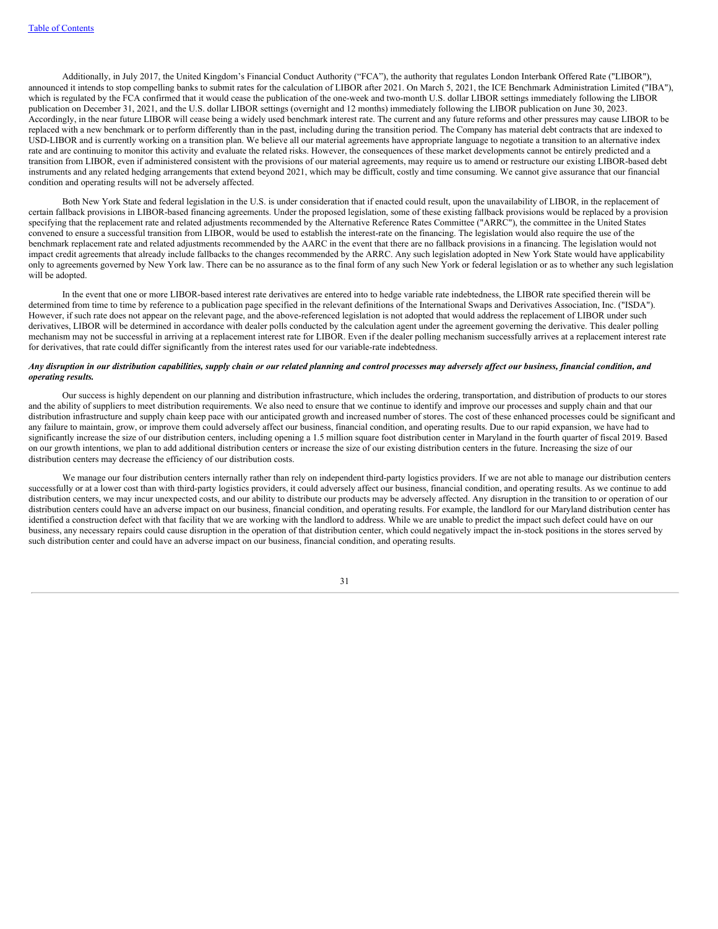Additionally, in July 2017, the United Kingdom's Financial Conduct Authority ("FCA"), the authority that regulates London Interbank Offered Rate ("LIBOR"), announced it intends to stop compelling banks to submit rates for the calculation of LIBOR after 2021. On March 5, 2021, the ICE Benchmark Administration Limited ("IBA"), which is regulated by the FCA confirmed that it would cease the publication of the one-week and two-month U.S. dollar LIBOR settings immediately following the LIBOR publication on December 31, 2021, and the U.S. dollar LIBOR settings (overnight and 12 months) immediately following the LIBOR publication on June 30, 2023. Accordingly, in the near future LIBOR will cease being a widely used benchmark interest rate. The current and any future reforms and other pressures may cause LIBOR to be replaced with a new benchmark or to perform differently than in the past, including during the transition period. The Company has material debt contracts that are indexed to USD-LIBOR and is currently working on a transition plan. We believe all our material agreements have appropriate language to negotiate a transition to an alternative index rate and are continuing to monitor this activity and evaluate the related risks. However, the consequences of these market developments cannot be entirely predicted and a transition from LIBOR, even if administered consistent with the provisions of our material agreements, may require us to amend or restructure our existing LIBOR-based debt instruments and any related hedging arrangements that extend beyond 2021, which may be difficult, costly and time consuming. We cannot give assurance that our financial condition and operating results will not be adversely affected.

Both New York State and federal legislation in the U.S. is under consideration that if enacted could result, upon the unavailability of LIBOR, in the replacement of certain fallback provisions in LIBOR-based financing agreements. Under the proposed legislation, some of these existing fallback provisions would be replaced by a provision specifying that the replacement rate and related adjustments recommended by the Alternative Reference Rates Committee ("ARRC"), the committee in the United States convened to ensure a successful transition from LIBOR, would be used to establish the interest-rate on the financing. The legislation would also require the use of the benchmark replacement rate and related adjustments recommended by the AARC in the event that there are no fallback provisions in a financing. The legislation would not impact credit agreements that already include fallbacks to the changes recommended by the ARRC. Any such legislation adopted in New York State would have applicability only to agreements governed by New York law. There can be no assurance as to the final form of any such New York or federal legislation or as to whether any such legislation will be adopted.

In the event that one or more LIBOR-based interest rate derivatives are entered into to hedge variable rate indebtedness, the LIBOR rate specified therein will be determined from time to time by reference to a publication page specified in the relevant definitions of the International Swaps and Derivatives Association, Inc. ("ISDA"). However, if such rate does not appear on the relevant page, and the above-referenced legislation is not adopted that would address the replacement of LIBOR under such derivatives, LIBOR will be determined in accordance with dealer polls conducted by the calculation agent under the agreement governing the derivative. This dealer polling mechanism may not be successful in arriving at a replacement interest rate for LIBOR. Even if the dealer polling mechanism successfully arrives at a replacement interest rate for derivatives, that rate could differ significantly from the interest rates used for our variable-rate indebtedness.

# Any disruption in our distribution capabilities, supply chain or our related planning and control processes may adversely affect our business, financial condition, and *operating results.*

Our success is highly dependent on our planning and distribution infrastructure, which includes the ordering, transportation, and distribution of products to our stores and the ability of suppliers to meet distribution requirements. We also need to ensure that we continue to identify and improve our processes and supply chain and that our distribution infrastructure and supply chain keep pace with our anticipated growth and increased number of stores. The cost of these enhanced processes could be significant and any failure to maintain, grow, or improve them could adversely affect our business, financial condition, and operating results. Due to our rapid expansion, we have had to significantly increase the size of our distribution centers, including opening a 1.5 million square foot distribution center in Maryland in the fourth quarter of fiscal 2019. Based on our growth intentions, we plan to add additional distribution centers or increase the size of our existing distribution centers in the future. Increasing the size of our distribution centers may decrease the efficiency of our distribution costs.

We manage our four distribution centers internally rather than rely on independent third-party logistics providers. If we are not able to manage our distribution centers successfully or at a lower cost than with third-party logistics providers, it could adversely affect our business, financial condition, and operating results. As we continue to add distribution centers, we may incur unexpected costs, and our ability to distribute our products may be adversely affected. Any disruption in the transition to or operation of our distribution centers could have an adverse impact on our business, financial condition, and operating results. For example, the landlord for our Maryland distribution center has identified a construction defect with that facility that we are working with the landlord to address. While we are unable to predict the impact such defect could have on our business, any necessary repairs could cause disruption in the operation of that distribution center, which could negatively impact the in-stock positions in the stores served by such distribution center and could have an adverse impact on our business, financial condition, and operating results.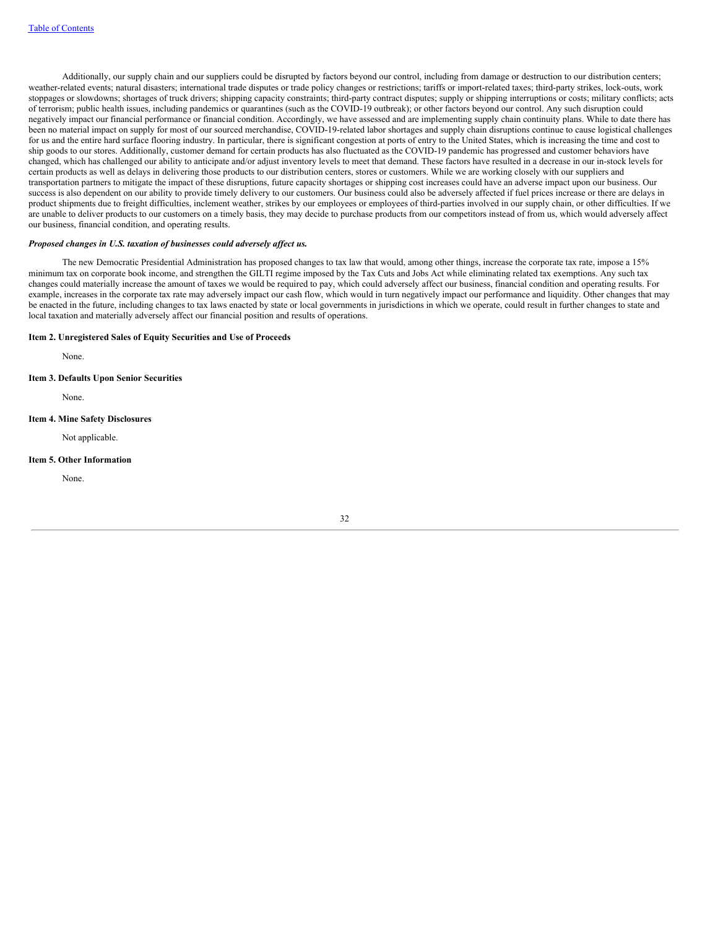Additionally, our supply chain and our suppliers could be disrupted by factors beyond our control, including from damage or destruction to our distribution centers; weather-related events; natural disasters; international trade disputes or trade policy changes or restrictions; tariffs or import-related taxes; third-party strikes, lock-outs, work stoppages or slowdowns; shortages of truck drivers; shipping capacity constraints; third-party contract disputes; supply or shipping interruptions or costs; military conflicts; acts of terrorism; public health issues, including pandemics or quarantines (such as the COVID-19 outbreak); or other factors beyond our control. Any such disruption could negatively impact our financial performance or financial condition. Accordingly, we have assessed and are implementing supply chain continuity plans. While to date there has been no material impact on supply for most of our sourced merchandise, COVID-19-related labor shortages and supply chain disruptions continue to cause logistical challenges for us and the entire hard surface flooring industry. In particular, there is significant congestion at ports of entry to the United States, which is increasing the time and cost to ship goods to our stores. Additionally, customer demand for certain products has also fluctuated as the COVID-19 pandemic has progressed and customer behaviors have changed, which has challenged our ability to anticipate and/or adjust inventory levels to meet that demand. These factors have resulted in a decrease in our in-stock levels for certain products as well as delays in delivering those products to our distribution centers, stores or customers. While we are working closely with our suppliers and transportation partners to mitigate the impact of these disruptions, future capacity shortages or shipping cost increases could have an adverse impact upon our business. Our success is also dependent on our ability to provide timely delivery to our customers. Our business could also be adversely affected if fuel prices increase or there are delays in product shipments due to freight difficulties, inclement weather, strikes by our employees or employees of third-parties involved in our supply chain, or other difficulties. If we are unable to deliver products to our customers on a timely basis, they may decide to purchase products from our competitors instead of from us, which would adversely affect our business, financial condition, and operating results.

# *Proposed changes in U.S. taxation of businesses could adversely af ect us.*

The new Democratic Presidential Administration has proposed changes to tax law that would, among other things, increase the corporate tax rate, impose a 15% minimum tax on corporate book income, and strengthen the GILTI regime imposed by the Tax Cuts and Jobs Act while eliminating related tax exemptions. Any such tax changes could materially increase the amount of taxes we would be required to pay, which could adversely affect our business, financial condition and operating results. For example, increases in the corporate tax rate may adversely impact our cash flow, which would in turn negatively impact our performance and liquidity. Other changes that may be enacted in the future, including changes to tax laws enacted by state or local governments in jurisdictions in which we operate, could result in further changes to state and local taxation and materially adversely affect our financial position and results of operations.

# <span id="page-31-0"></span>**Item 2. Unregistered Sales of Equity Securities and Use of Proceeds**

None.

#### <span id="page-31-1"></span>**Item 3. Defaults Upon Senior Securities**

None.

### <span id="page-31-2"></span>**Item 4. Mine Safety Disclosures**

Not applicable.

#### <span id="page-31-3"></span>**Item 5. Other Information**

<span id="page-31-4"></span>None.

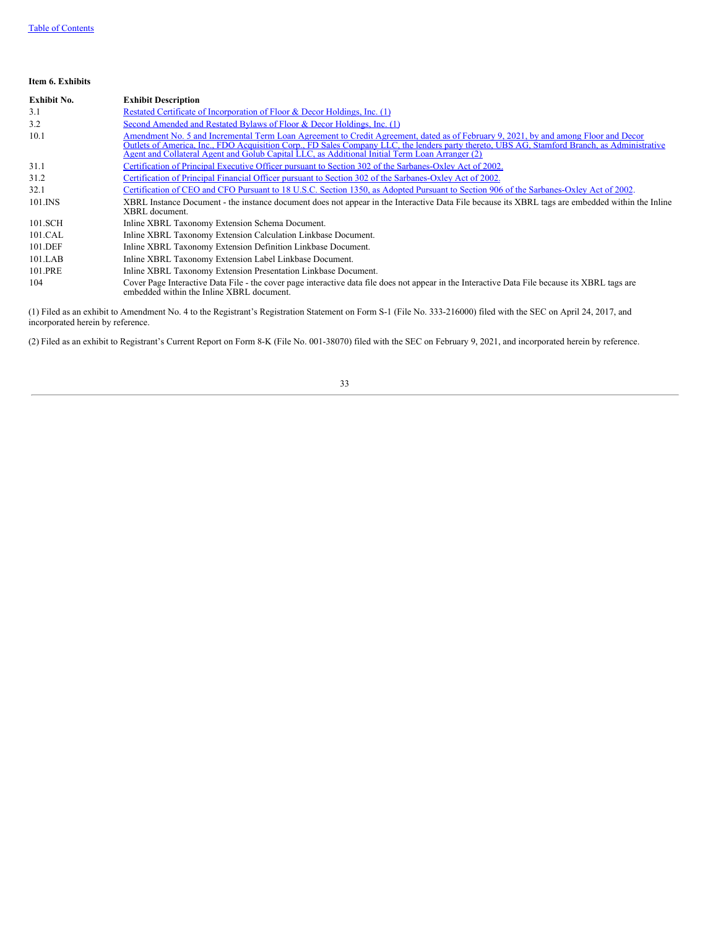# **Item 6. Exhibits**

| Exhibit No. | <b>Exhibit Description</b>                                                                                                                                                                                                                                                                                                                                                            |  |  |  |
|-------------|---------------------------------------------------------------------------------------------------------------------------------------------------------------------------------------------------------------------------------------------------------------------------------------------------------------------------------------------------------------------------------------|--|--|--|
| 3.1         | Restated Certificate of Incorporation of Floor & Decor Holdings, Inc. (1)                                                                                                                                                                                                                                                                                                             |  |  |  |
| 3.2         | Second Amended and Restated Bylaws of Floor & Decor Holdings, Inc. (1)                                                                                                                                                                                                                                                                                                                |  |  |  |
| 10.1        | Amendment No. 5 and Incremental Term Loan Agreement to Credit Agreement, dated as of February 9, 2021, by and among Floor and Decor<br>Outlets of America, Inc., FDO Acquisition Corp., FD Sales Company LLC, the lenders party thereto, UBS AG, Stamford Branch, as Administrative<br>Agent and Collateral Agent and Golub Capital LLC, as Additional Initial Term Loan Arranger (2) |  |  |  |
| 31.1        | Certification of Principal Executive Officer pursuant to Section 302 of the Sarbanes-Oxley Act of 2002.                                                                                                                                                                                                                                                                               |  |  |  |
| 31.2        | Certification of Principal Financial Officer pursuant to Section 302 of the Sarbanes-Oxley Act of 2002.                                                                                                                                                                                                                                                                               |  |  |  |
| 32.1        | Certification of CEO and CFO Pursuant to 18 U.S.C. Section 1350, as Adopted Pursuant to Section 906 of the Sarbanes-Oxley Act of 2002.                                                                                                                                                                                                                                                |  |  |  |
| 101.INS     | XBRL Instance Document - the instance document does not appear in the Interactive Data File because its XBRL tags are embedded within the Inline<br>XBRL document.                                                                                                                                                                                                                    |  |  |  |
| 101.SCH     | Inline XBRL Taxonomy Extension Schema Document.                                                                                                                                                                                                                                                                                                                                       |  |  |  |
| 101.CAL     | Inline XBRL Taxonomy Extension Calculation Linkbase Document.                                                                                                                                                                                                                                                                                                                         |  |  |  |
| 101.DEF     | Inline XBRL Taxonomy Extension Definition Linkbase Document.                                                                                                                                                                                                                                                                                                                          |  |  |  |
| 101.LAB     | Inline XBRL Taxonomy Extension Label Linkbase Document.                                                                                                                                                                                                                                                                                                                               |  |  |  |
| 101.PRE     | Inline XBRL Taxonomy Extension Presentation Linkbase Document.                                                                                                                                                                                                                                                                                                                        |  |  |  |
| 104         | Cover Page Interactive Data File - the cover page interactive data file does not appear in the Interactive Data File because its XBRL tags are<br>embedded within the Inline XBRL document.                                                                                                                                                                                           |  |  |  |

(1) Filed as an exhibit to Amendment No. 4 to the Registrant's Registration Statement on Form S-1 (File No. 333-216000) filed with the SEC on April 24, 2017, and incorporated herein by reference.

<span id="page-32-0"></span>(2) Filed as an exhibit to Registrant's Current Report on Form 8-K (File No. 001-38070) filed with the SEC on February 9, 2021, and incorporated herein by reference.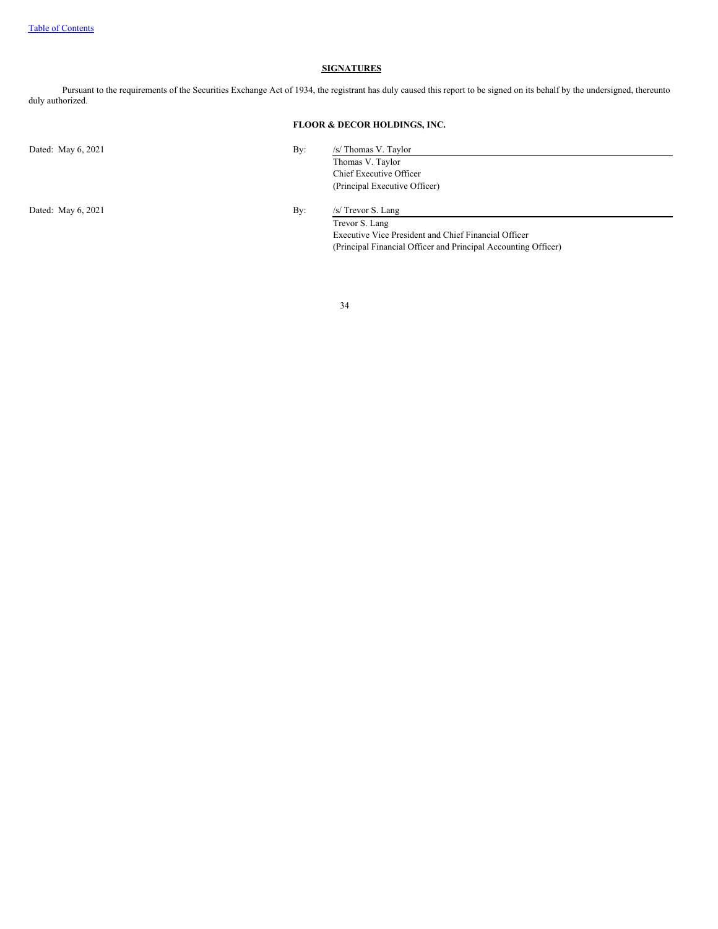# **SIGNATURES**

Pursuant to the requirements of the Securities Exchange Act of 1934, the registrant has duly caused this report to be signed on its behalf by the undersigned, thereunto duly authorized.

# **FLOOR & DECOR HOLDINGS, INC.**

| Dated: May 6, 2021 | By: | /s/ Thomas V. Taylor<br>Thomas V. Taylor<br>Chief Executive Officer<br>(Principal Executive Officer)                                                             |
|--------------------|-----|------------------------------------------------------------------------------------------------------------------------------------------------------------------|
| Dated: May 6, 2021 | By: | $/s/$ Trevor S. Lang<br>Trevor S. Lang<br>Executive Vice President and Chief Financial Officer<br>(Principal Financial Officer and Principal Accounting Officer) |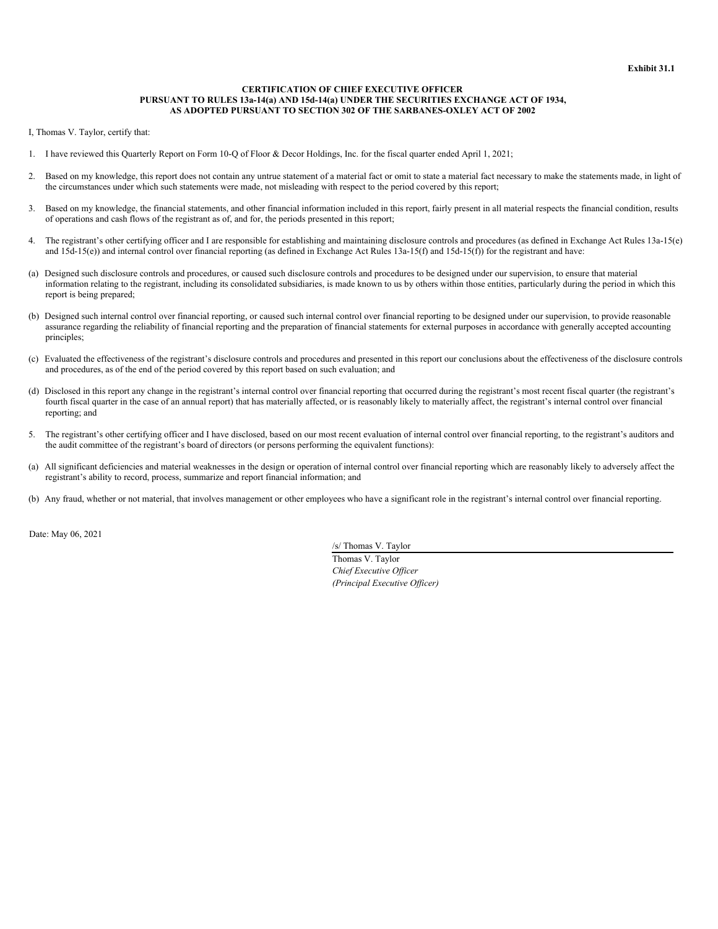# **CERTIFICATION OF CHIEF EXECUTIVE OFFICER PURSUANT TO RULES 13a-14(a) AND 15d-14(a) UNDER THE SECURITIES EXCHANGE ACT OF 1934, AS ADOPTED PURSUANT TO SECTION 302 OF THE SARBANES-OXLEY ACT OF 2002**

<span id="page-34-0"></span>I, Thomas V. Taylor, certify that:

- 1. I have reviewed this Quarterly Report on Form 10-Q of Floor & Decor Holdings, Inc. for the fiscal quarter ended April 1, 2021;
- Based on my knowledge, this report does not contain any untrue statement of a material fact or omit to state a material fact necessary to make the statements made, in light of the circumstances under which such statements were made, not misleading with respect to the period covered by this report;
- 3. Based on my knowledge, the financial statements, and other financial information included in this report, fairly present in all material respects the financial condition, results of operations and cash flows of the registrant as of, and for, the periods presented in this report;
- 4. The registrant's other certifying officer and I are responsible for establishing and maintaining disclosure controls and procedures (as defined in Exchange Act Rules 13a-15(e) and  $15d-15(e)$ ) and internal control over financial reporting (as defined in Exchange Act Rules  $13a-15(f)$ ) and  $15d-15(f)$ ) for the registrant and have:
- (a) Designed such disclosure controls and procedures, or caused such disclosure controls and procedures to be designed under our supervision, to ensure that material information relating to the registrant, including its consolidated subsidiaries, is made known to us by others within those entities, particularly during the period in which this report is being prepared;
- (b) Designed such internal control over financial reporting, or caused such internal control over financial reporting to be designed under our supervision, to provide reasonable assurance regarding the reliability of financial reporting and the preparation of financial statements for external purposes in accordance with generally accepted accounting principles;
- (c) Evaluated the effectiveness of the registrant's disclosure controls and procedures and presented in this report our conclusions about the effectiveness of the disclosure controls and procedures, as of the end of the period covered by this report based on such evaluation; and
- (d) Disclosed in this report any change in the registrant's internal control over financial reporting that occurred during the registrant's most recent fiscal quarter (the registrant's fourth fiscal quarter in the case of an annual report) that has materially affected, or is reasonably likely to materially affect, the registrant's internal control over financial reporting; and
- 5. The registrant's other certifying officer and I have disclosed, based on our most recent evaluation of internal control over financial reporting, to the registrant's auditors and the audit committee of the registrant's board of directors (or persons performing the equivalent functions):
- (a) All significant deficiencies and material weaknesses in the design or operation of internal control over financial reporting which are reasonably likely to adversely affect the registrant's ability to record, process, summarize and report financial information; and
- (b) Any fraud, whether or not material, that involves management or other employees who have a significant role in the registrant's internal control over financial reporting.

Date: May 06, 2021

/s/ Thomas V. Taylor Thomas V. Taylor *Chief Executive Of icer (Principal Executive Of icer)*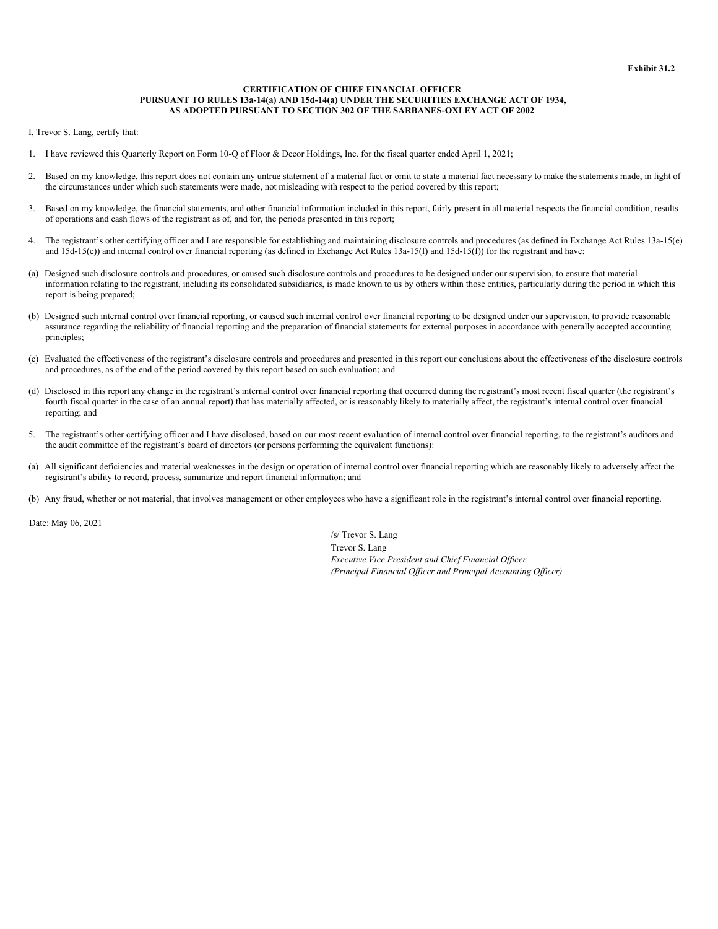# **CERTIFICATION OF CHIEF FINANCIAL OFFICER PURSUANT TO RULES 13a-14(a) AND 15d-14(a) UNDER THE SECURITIES EXCHANGE ACT OF 1934, AS ADOPTED PURSUANT TO SECTION 302 OF THE SARBANES-OXLEY ACT OF 2002**

<span id="page-35-0"></span>I, Trevor S. Lang, certify that:

- 1. I have reviewed this Quarterly Report on Form 10-Q of Floor & Decor Holdings, Inc. for the fiscal quarter ended April 1, 2021;
- Based on my knowledge, this report does not contain any untrue statement of a material fact or omit to state a material fact necessary to make the statements made, in light of the circumstances under which such statements were made, not misleading with respect to the period covered by this report;
- 3. Based on my knowledge, the financial statements, and other financial information included in this report, fairly present in all material respects the financial condition, results of operations and cash flows of the registrant as of, and for, the periods presented in this report;
- 4. The registrant's other certifying officer and I are responsible for establishing and maintaining disclosure controls and procedures (as defined in Exchange Act Rules 13a-15(e) and  $15d-15(e)$ ) and internal control over financial reporting (as defined in Exchange Act Rules  $13a-15(f)$  and  $15d-15(f)$ ) for the registrant and have:
- (a) Designed such disclosure controls and procedures, or caused such disclosure controls and procedures to be designed under our supervision, to ensure that material information relating to the registrant, including its consolidated subsidiaries, is made known to us by others within those entities, particularly during the period in which this report is being prepared;
- (b) Designed such internal control over financial reporting, or caused such internal control over financial reporting to be designed under our supervision, to provide reasonable assurance regarding the reliability of financial reporting and the preparation of financial statements for external purposes in accordance with generally accepted accounting principles;
- (c) Evaluated the effectiveness of the registrant's disclosure controls and procedures and presented in this report our conclusions about the effectiveness of the disclosure controls and procedures, as of the end of the period covered by this report based on such evaluation; and
- (d) Disclosed in this report any change in the registrant's internal control over financial reporting that occurred during the registrant's most recent fiscal quarter (the registrant's fourth fiscal quarter in the case of an annual report) that has materially affected, or is reasonably likely to materially affect, the registrant's internal control over financial reporting; and
- 5. The registrant's other certifying officer and I have disclosed, based on our most recent evaluation of internal control over financial reporting, to the registrant's auditors and the audit committee of the registrant's board of directors (or persons performing the equivalent functions):
- (a) All significant deficiencies and material weaknesses in the design or operation of internal control over financial reporting which are reasonably likely to adversely affect the registrant's ability to record, process, summarize and report financial information; and
- (b) Any fraud, whether or not material, that involves management or other employees who have a significant role in the registrant's internal control over financial reporting.

Date: May 06, 2021

/s/ Trevor S. Lang

Trevor S. Lang *Executive Vice President and Chief Financial Of icer (Principal Financial Of icer and Principal Accounting Of icer)*